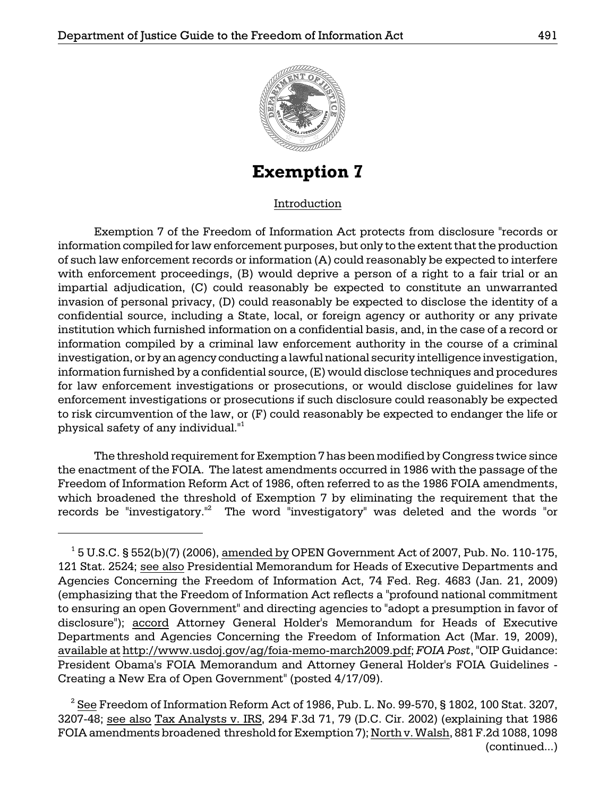

**Exemption 7** 

### Introduction

 institution which furnished information on a confidential basis, and, in the case of a record or physical safety of any individual."1 Exemption 7 of the Freedom of Information Act protects from disclosure "records or information compiled for law enforcement purposes, but only to the extent that the production of such law enforcement records or information (A) could reasonably be expected to interfere with enforcement proceedings, (B) would deprive a person of a right to a fair trial or an impartial adjudication, (C) could reasonably be expected to constitute an unwarranted invasion of personal privacy, (D) could reasonably be expected to disclose the identity of a confidential source, including a State, local, or foreign agency or authority or any private information compiled by a criminal law enforcement authority in the course of a criminal investigation, or by an agency conducting a lawful national security intelligence investigation, information furnished by a confidential source, (E) would disclose techniques and procedures for law enforcement investigations or prosecutions, or would disclose guidelines for law enforcement investigations or prosecutions if such disclosure could reasonably be expected to risk circumvention of the law, or (F) could reasonably be expected to endanger the life or

 the enactment of the FOIA. The latest amendments occurred in 1986 with the passage of the The threshold requirement for Exemption 7 has been modified by Congress twice since Freedom of Information Reform Act of 1986, often referred to as the 1986 FOIA amendments, which broadened the threshold of Exemption 7 by eliminating the requirement that the records be "investigatory."2 The word "investigatory" was deleted and the words "or

 $1$  5 U.S.C. § 552(b)(7) (2006), amended by OPEN Government Act of 2007, Pub. No. 110-175, 121 Stat. 2524; see also Presidential Memorandum for Heads of Executive Departments and Agencies Concerning the Freedom of Information Act, 74 Fed. Reg. 4683 (Jan. 21, 2009) (emphasizing that the Freedom of Information Act reflects a "profound national commitment to ensuring an open Government" and directing agencies to "adopt a presumption in favor of disclosure"); accord Attorney General Holder's Memorandum for Heads of Executive Departments and Agencies Concerning the Freedom of Information Act (Mar. 19, 2009), available at http://www.usdoj.gov/ag/foia-memo-march2009.pdf; *FOIA Post*, "OIP Guidance: President Obama's FOIA Memorandum and Attorney General Holder's FOIA Guidelines Creating a New Era of Open Government" (posted 4/17/09).

 $^2$   $\underline{\text{See}}$  Freedom of Information Reform Act of 1986, Pub. L. No. 99-570, § 1802, 100 Stat. 3207, 3207-48; see also Tax Analysts v. IRS, 294 F.3d 71, 79 (D.C. Cir. 2002) (explaining that 1986 FOIA amendments broadened threshold for Exemption 7); North v. Walsh, 881 F.2d 1088, 1098 (continued...)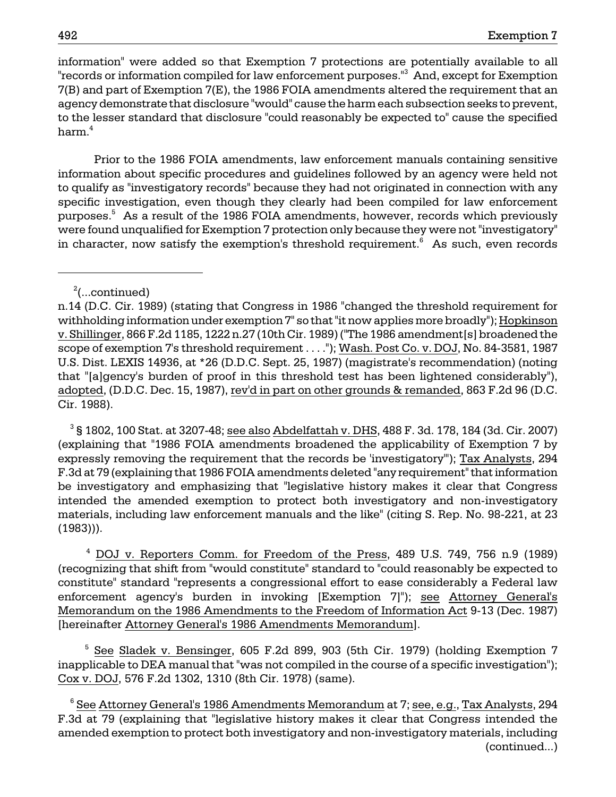information" were added so that Exemption 7 protections are potentially available to all "records or information compiled for law enforcement purposes."<sup>3</sup> And, except for Exemption 7(B) and part of Exemption 7(E), the 1986 FOIA amendments altered the requirement that an agency demonstrate that disclosure "would" cause the harm each subsection seeks to prevent, to the lesser standard that disclosure "could reasonably be expected to" cause the specified harm.<sup>4</sup>

Prior to the 1986 FOIA amendments, law enforcement manuals containing sensitive information about specific procedures and guidelines followed by an agency were held not to qualify as "investigatory records" because they had not originated in connection with any specific investigation, even though they clearly had been compiled for law enforcement purposes.<sup>5</sup> As a result of the 1986 FOIA amendments, however, records which previously were found unqualified for Exemption 7 protection only because they were not "investigatory" in character, now satisfy the exemption's threshold requirement. $6$  As such, even records

# <sup>2</sup> (...continued)

 $^3$ § 1802, 100 Stat. at 3207-48; <u>see also Abdelfattah v. DHS,</u> 488 F. 3d. 178, 184 (3d. Cir. 2007) (explaining that "1986 FOIA amendments broadened the applicability of Exemption 7 by expressly removing the requirement that the records be 'investigatory'"); Tax Analysts, 294 F.3d at 79 (explaining that 1986 FOIA amendments deleted "any requirement" that information be investigatory and emphasizing that "legislative history makes it clear that Congress intended the amended exemption to protect both investigatory and non-investigatory materials, including law enforcement manuals and the like" (citing S. Rep. No. 98-221, at 23 (1983))).

 4 DOJ v. Reporters Comm. for Freedom of the Press, 489 U.S. 749, 756 n.9 (1989) (recognizing that shift from "would constitute" standard to "could reasonably be expected to constitute" standard "represents a congressional effort to ease considerably a Federal law enforcement agency's burden in invoking [Exemption 7]"); see Attorney General's Memorandum on the 1986 Amendments to the Freedom of Information Act 9-13 (Dec. 1987) [hereinafter Attorney General's 1986 Amendments Memorandum].

<sup>5</sup> See Sladek v. Bensinger, 605 F.2d 899, 903 (5th Cir. 1979) (holding Exemption 7 inapplicable to DEA manual that "was not compiled in the course of a specific investigation"); Cox v. DOJ, 576 F.2d 1302, 1310 (8th Cir. 1978) (same).

 $^6$  <u>See Attorney General's 1986 Amendments Memorandum</u> at 7; <u>see, e.g., Tax Analysts,</u> 294 F.3d at 79 (explaining that "legislative history makes it clear that Congress intended the amended exemption to protect both investigatory and non-investigatory materials, including (continued...)

n.14 (D.C. Cir. 1989) (stating that Congress in 1986 "changed the threshold requirement for withholding information under exemption 7" so that "it now applies more broadly"); Hopkinson v. Shillinger, 866 F.2d 1185, 1222 n.27 (10th Cir. 1989) ("The 1986 amendment[s] broadened the scope of exemption 7's threshold requirement . . . ."); Wash. Post Co. v. DOJ, No. 84-3581, 1987 U.S. Dist. LEXIS 14936, at \*26 (D.D.C. Sept. 25, 1987) (magistrate's recommendation) (noting that "[a]gency's burden of proof in this threshold test has been lightened considerably"), adopted, (D.D.C. Dec. 15, 1987), rev'd in part on other grounds & remanded, 863 F.2d 96 (D.C. Cir. 1988).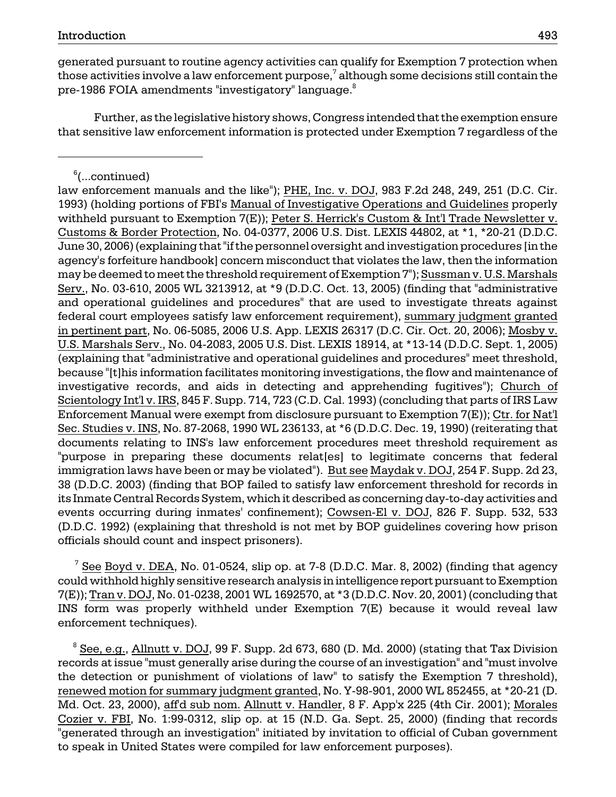generated pursuant to routine agency activities can qualify for Exemption 7 protection when those activities involve a law enforcement purpose, $^7$  although some decisions still contain the pre-1986 FOIA amendments "investigatory" language.<sup>8</sup>

Further, as the legislative history shows, Congress intended that the exemption ensure that sensitive law enforcement information is protected under Exemption 7 regardless of the

law enforcement manuals and the like"); PHE, Inc. v. DOJ, 983 F.2d 248, 249, 251 (D.C. Cir. 1993) (holding portions of FBI's Manual of Investigative Operations and Guidelines properly withheld pursuant to Exemption 7(E)); Peter S. Herrick's Custom & Int'l Trade Newsletter v. Customs & Border Protection, No. 04-0377, 2006 U.S. Dist. LEXIS 44802, at \*1, \*20-21 (D.D.C. June 30, 2006) (explaining that "if the personnel oversight and investigation procedures [in the agency's forfeiture handbook] concern misconduct that violates the law, then the information may be deemed to meet the threshold requirement of Exemption 7"); Sussman v. U.S. Marshals Serv., No. 03-610, 2005 WL 3213912, at \*9 (D.D.C. Oct. 13, 2005) (finding that "administrative and operational guidelines and procedures" that are used to investigate threats against federal court employees satisfy law enforcement requirement), summary judgment granted in pertinent part, No. 06-5085, 2006 U.S. App. LEXIS 26317 (D.C. Cir. Oct. 20, 2006); Mosby v. U.S. Marshals Serv., No. 04-2083, 2005 U.S. Dist. LEXIS 18914, at \*13-14 (D.D.C. Sept. 1, 2005) (explaining that "administrative and operational guidelines and procedures" meet threshold, because "[t]his information facilitates monitoring investigations, the flow and maintenance of investigative records, and aids in detecting and apprehending fugitives"); Church of Scientology Int'l v. IRS, 845 F. Supp. 714, 723 (C.D. Cal. 1993) (concluding that parts of IRS Law Enforcement Manual were exempt from disclosure pursuant to Exemption 7(E)); Ctr. for Nat'l Sec. Studies v. INS, No. 87-2068, 1990 WL 236133, at \*6 (D.D.C. Dec. 19, 1990) (reiterating that documents relating to INS's law enforcement procedures meet threshold requirement as "purpose in preparing these documents relat[es] to legitimate concerns that federal immigration laws have been or may be violated"). But see Maydak v. DOJ, 254 F. Supp. 2d 23, 38 (D.D.C. 2003) (finding that BOP failed to satisfy law enforcement threshold for records in its Inmate Central Records System, which it described as concerning day-to-day activities and events occurring during inmates' confinement); Cowsen-El v. DOJ, 826 F. Supp. 532, 533 (D.D.C. 1992) (explaining that threshold is not met by BOP guidelines covering how prison officials should count and inspect prisoners).

 $\frac{7}{1}$  See Boyd v. DEA, No. 01-0524, slip op. at 7-8 (D.D.C. Mar. 8, 2002) (finding that agency could withhold highly sensitive research analysis in intelligence report pursuant to Exemption 7(E)); Tran v. DOJ, No. 01-0238, 2001 WL 1692570, at \*3 (D.D.C. Nov. 20, 2001) (concluding that INS form was properly withheld under Exemption 7(E) because it would reveal law enforcement techniques).

 $8$  See, e.g., Allnutt v. DOJ, 99 F. Supp. 2d 673, 680 (D. Md. 2000) (stating that Tax Division records at issue "must generally arise during the course of an investigation" and "must involve the detection or punishment of violations of law" to satisfy the Exemption 7 threshold), renewed motion for summary judgment granted, No. Y-98-901, 2000 WL 852455, at \*20-21 (D. Md. Oct. 23, 2000), aff'd sub nom. Allnutt v. Handler, 8 F. App'x 225 (4th Cir. 2001); Morales Cozier v. FBI, No. 1:99-0312, slip op. at 15 (N.D. Ga. Sept. 25, 2000) (finding that records "generated through an investigation" initiated by invitation to official of Cuban government to speak in United States were compiled for law enforcement purposes).

 $^6$ (...continued)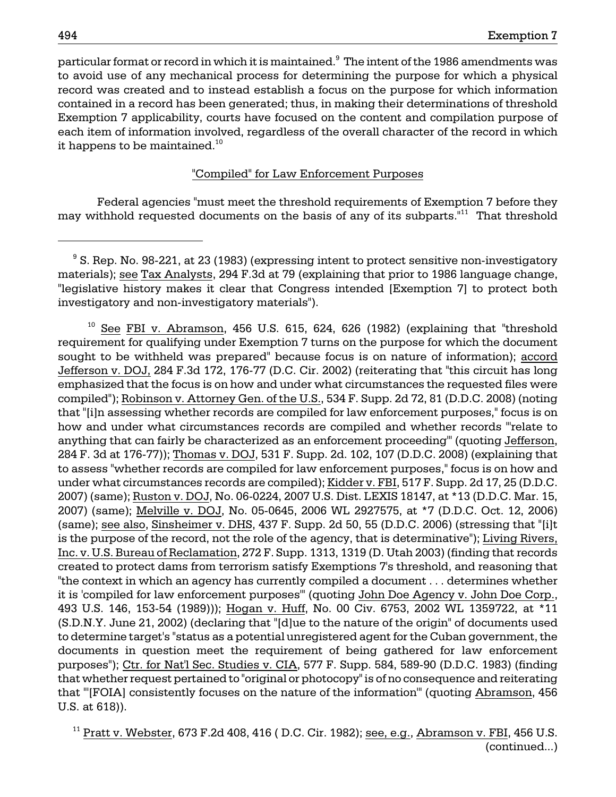particular format or record in which it is maintained. $^{\textrm{\textregistered}}$  The intent of the 1986 amendments was to avoid use of any mechanical process for determining the purpose for which a physical record was created and to instead establish a focus on the purpose for which information contained in a record has been generated; thus, in making their determinations of threshold Exemption 7 applicability, courts have focused on the content and compilation purpose of each item of information involved, regardless of the overall character of the record in which it happens to be maintained.<sup>10</sup>

### "Compiled" for Law Enforcement Purposes

 Federal agencies "must meet the threshold requirements of Exemption 7 before they may withhold requested documents on the basis of any of its subparts.<sup>"11</sup> That threshold

 $10$  See FBI v. Abramson, 456 U.S. 615, 624, 626 (1982) (explaining that "threshold requirement for qualifying under Exemption 7 turns on the purpose for which the document sought to be withheld was prepared" because focus is on nature of information); accord Jefferson v. DOJ, 284 F.3d 172, 176-77 (D.C. Cir. 2002) (reiterating that "this circuit has long emphasized that the focus is on how and under what circumstances the requested files were compiled"); Robinson v. Attorney Gen. of the U.S., 534 F. Supp. 2d 72, 81 (D.D.C. 2008) (noting that "[i]n assessing whether records are compiled for law enforcement purposes," focus is on how and under what circumstances records are compiled and whether records "'relate to anything that can fairly be characterized as an enforcement proceeding'" (quoting Jefferson, 284 F. 3d at 176-77)); Thomas v. DOJ, 531 F. Supp. 2d. 102, 107 (D.D.C. 2008) (explaining that to assess "whether records are compiled for law enforcement purposes," focus is on how and under what circumstances records are compiled); Kidder v. FBI, 517 F. Supp. 2d 17, 25 (D.D.C. 2007) (same); Ruston v. DOJ, No. 06-0224, 2007 U.S. Dist. LEXIS 18147, at \*13 (D.D.C. Mar. 15, 2007) (same); Melville v. DOJ, No. 05-0645, 2006 WL 2927575, at \*7 (D.D.C. Oct. 12, 2006) (same); see also, Sinsheimer v. DHS, 437 F. Supp. 2d 50, 55 (D.D.C. 2006) (stressing that "[i]t is the purpose of the record, not the role of the agency, that is determinative"); Living Rivers, Inc. v. U.S. Bureau of Reclamation, 272 F. Supp. 1313, 1319 (D. Utah 2003) (finding that records created to protect dams from terrorism satisfy Exemptions 7's threshold, and reasoning that "the context in which an agency has currently compiled a document . . . determines whether it is 'compiled for law enforcement purposes'" (quoting John Doe Agency v. John Doe Corp., 493 U.S. 146, 153-54 (1989))); Hogan v. Huff, No. 00 Civ. 6753, 2002 WL 1359722, at \*11 (S.D.N.Y. June 21, 2002) (declaring that "[d]ue to the nature of the origin" of documents used to determine target's "status as a potential unregistered agent for the Cuban government, the documents in question meet the requirement of being gathered for law enforcement purposes"); Ctr. for Nat'l Sec. Studies v. CIA, 577 F. Supp. 584, 589-90 (D.D.C. 1983) (finding that whether request pertained to "original or photocopy" is of no consequence and reiterating that "'[FOIA] consistently focuses on the nature of the information'" (quoting Abramson, 456 U.S. at 618)).

 $11$  Pratt v. Webster, 673 F.2d 408, 416 (D.C. Cir. 1982); see, e.g., Abramson v. FBI, 456 U.S. (continued...)

 $\degree$  S. Rep. No. 98-221, at 23 (1983) (expressing intent to protect sensitive non-investigatory materials); see Tax Analysts, 294 F.3d at 79 (explaining that prior to 1986 language change, "legislative history makes it clear that Congress intended [Exemption 7] to protect both investigatory and non-investigatory materials").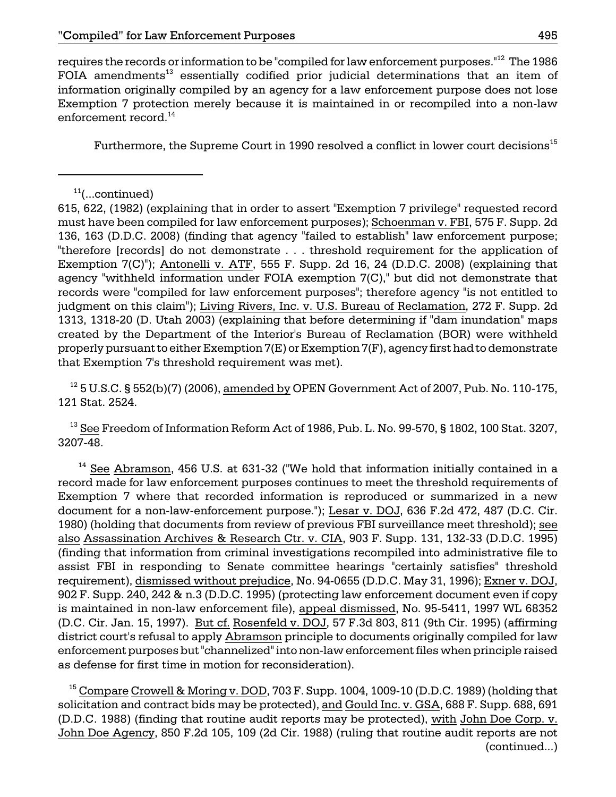requires the records or information to be "compiled for law enforcement purposes."12 The 1986 FOIA amendments<sup>13</sup> essentially codified prior judicial determinations that an item of information originally compiled by an agency for a law enforcement purpose does not lose Exemption 7 protection merely because it is maintained in or recompiled into a non-law enforcement record.<sup>14</sup>

Furthermore, the Supreme Court in 1990 resolved a conflict in lower court decisions<sup>15</sup>

615, 622, (1982) (explaining that in order to assert "Exemption 7 privilege" requested record must have been compiled for law enforcement purposes); Schoenman v. FBI, 575 F. Supp. 2d 136, 163 (D.D.C. 2008) (finding that agency "failed to establish" law enforcement purpose; "therefore [records] do not demonstrate . . . threshold requirement for the application of Exemption 7(C)"); Antonelli v. ATF, 555 F. Supp. 2d 16, 24 (D.D.C. 2008) (explaining that agency "withheld information under FOIA exemption 7(C)," but did not demonstrate that records were "compiled for law enforcement purposes"; therefore agency "is not entitled to judgment on this claim"); Living Rivers, Inc. v. U.S. Bureau of Reclamation, 272 F. Supp. 2d 1313, 1318-20 (D. Utah 2003) (explaining that before determining if "dam inundation" maps created by the Department of the Interior's Bureau of Reclamation (BOR) were withheld properly pursuant to either Exemption 7(E) or Exemption 7(F), agency first had to demonstrate that Exemption 7's threshold requirement was met).

 $12$  5 U.S.C. § 552(b)(7) (2006), amended by OPEN Government Act of 2007, Pub. No. 110-175, 121 Stat. 2524.

<sup>13</sup> See Freedom of Information Reform Act of 1986, Pub. L. No. 99-570, § 1802, 100 Stat. 3207, 3207-48.

 $14$  See Abramson, 456 U.S. at 631-32 ("We hold that information initially contained in a record made for law enforcement purposes continues to meet the threshold requirements of Exemption 7 where that recorded information is reproduced or summarized in a new document for a non-law-enforcement purpose."); Lesar v. DOJ, 636 F.2d 472, 487 (D.C. Cir. 1980) (holding that documents from review of previous FBI surveillance meet threshold); see also Assassination Archives & Research Ctr. v. CIA, 903 F. Supp. 131, 132-33 (D.D.C. 1995) (finding that information from criminal investigations recompiled into administrative file to assist FBI in responding to Senate committee hearings "certainly satisfies" threshold requirement), dismissed without prejudice, No. 94-0655 (D.D.C. May 31, 1996); Exner v. DOJ, 902 F. Supp. 240, 242 & n.3 (D.D.C. 1995) (protecting law enforcement document even if copy is maintained in non-law enforcement file), appeal dismissed, No. 95-5411, 1997 WL 68352 (D.C. Cir. Jan. 15, 1997). But cf. Rosenfeld v. DOJ, 57 F.3d 803, 811 (9th Cir. 1995) (affirming district court's refusal to apply Abramson principle to documents originally compiled for law enforcement purposes but "channelized" into non-law enforcement files when principle raised as defense for first time in motion for reconsideration).

 $15$  Compare Crowell & Moring v. DOD, 703 F. Supp. 1004, 1009-10 (D.D.C. 1989) (holding that solicitation and contract bids may be protected), and Gould Inc. v. GSA, 688 F. Supp. 688, 691 (D.D.C. 1988) (finding that routine audit reports may be protected), with John Doe Corp. v. John Doe Agency, 850 F.2d 105, 109 (2d Cir. 1988) (ruling that routine audit reports are not (continued...)

 $11$ (...continued)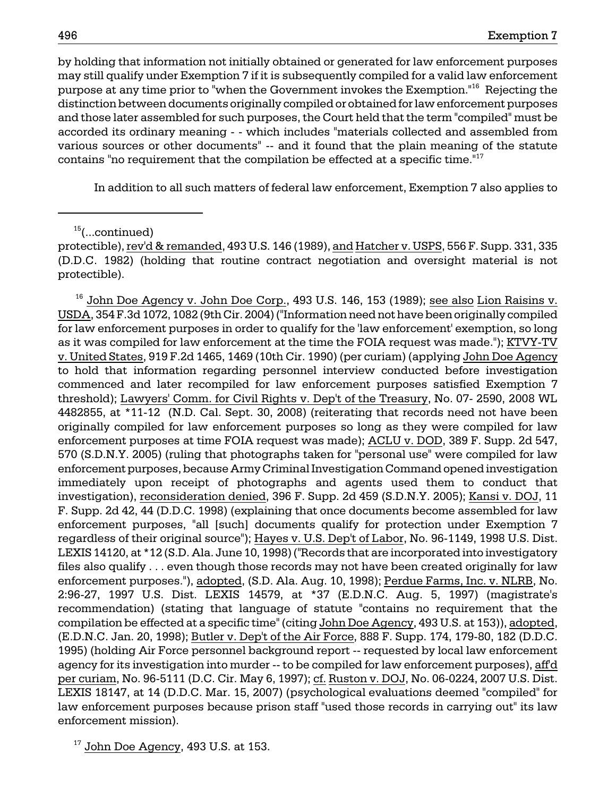by holding that information not initially obtained or generated for law enforcement purposes may still qualify under Exemption 7 if it is subsequently compiled for a valid law enforcement purpose at any time prior to "when the Government invokes the Exemption."16 Rejecting the distinction between documents originally compiled or obtained for law enforcement purposes and those later assembled for such purposes, the Court held that the term "compiled" must be accorded its ordinary meaning - - which includes "materials collected and assembled from various sources or other documents" -- and it found that the plain meaning of the statute contains "no requirement that the compilation be effected at a specific time."<sup>17</sup>

In addition to all such matters of federal law enforcement, Exemption 7 also applies to

 $15$ (...continued)

<sup>16</sup> John Doe Agency v. John Doe Corp., 493 U.S. 146, 153 (1989); <u>see also Lion Raisins v.</u> USDA, 354 F.3d 1072, 1082 (9th Cir. 2004) ("Information need not have been originally compiled for law enforcement purposes in order to qualify for the 'law enforcement' exemption, so long as it was compiled for law enforcement at the time the FOIA request was made."); KTVY-TV v. United States, 919 F.2d 1465, 1469 (10th Cir. 1990) (per curiam) (applying John Doe Agency to hold that information regarding personnel interview conducted before investigation commenced and later recompiled for law enforcement purposes satisfied Exemption 7 threshold); Lawyers' Comm. for Civil Rights v. Dep't of the Treasury, No. 07- 2590, 2008 WL 4482855, at \*11-12 (N.D. Cal. Sept. 30, 2008) (reiterating that records need not have been originally compiled for law enforcement purposes so long as they were compiled for law enforcement purposes at time FOIA request was made); ACLU v. DOD, 389 F. Supp. 2d 547, 570 (S.D.N.Y. 2005) (ruling that photographs taken for "personal use" were compiled for law enforcement purposes, because Army Criminal Investigation Command opened investigation immediately upon receipt of photographs and agents used them to conduct that investigation), reconsideration denied, 396 F. Supp. 2d 459 (S.D.N.Y. 2005); Kansi v. DOJ, 11 F. Supp. 2d 42, 44 (D.D.C. 1998) (explaining that once documents become assembled for law enforcement purposes, "all [such] documents qualify for protection under Exemption 7 regardless of their original source"); Hayes v. U.S. Dep't of Labor, No. 96-1149, 1998 U.S. Dist. LEXIS 14120, at \*12 (S.D. Ala. June 10, 1998) ("Records that are incorporated into investigatory files also qualify . . . even though those records may not have been created originally for law enforcement purposes."), adopted, (S.D. Ala. Aug. 10, 1998); Perdue Farms, Inc. v. NLRB, No. 2:96-27, 1997 U.S. Dist. LEXIS 14579, at \*37 (E.D.N.C. Aug. 5, 1997) (magistrate's recommendation) (stating that language of statute "contains no requirement that the compilation be effected at a specific time" (citing John Doe Agency, 493 U.S. at 153)), adopted, (E.D.N.C. Jan. 20, 1998); Butler v. Dep't of the Air Force, 888 F. Supp. 174, 179-80, 182 (D.D.C. 1995) (holding Air Force personnel background report -- requested by local law enforcement agency for its investigation into murder -- to be compiled for law enforcement purposes), aff'd per curiam, No. 96-5111 (D.C. Cir. May 6, 1997); cf. Ruston v. DOJ, No. 06-0224, 2007 U.S. Dist. LEXIS 18147, at 14 (D.D.C. Mar. 15, 2007) (psychological evaluations deemed "compiled" for law enforcement purposes because prison staff "used those records in carrying out" its law enforcement mission).

 $17$  John Doe Agency, 493 U.S. at 153.

protectible), rev'd & remanded, 493 U.S. 146 (1989), and Hatcher v. USPS, 556 F. Supp. 331, 335 (D.D.C. 1982) (holding that routine contract negotiation and oversight material is not protectible).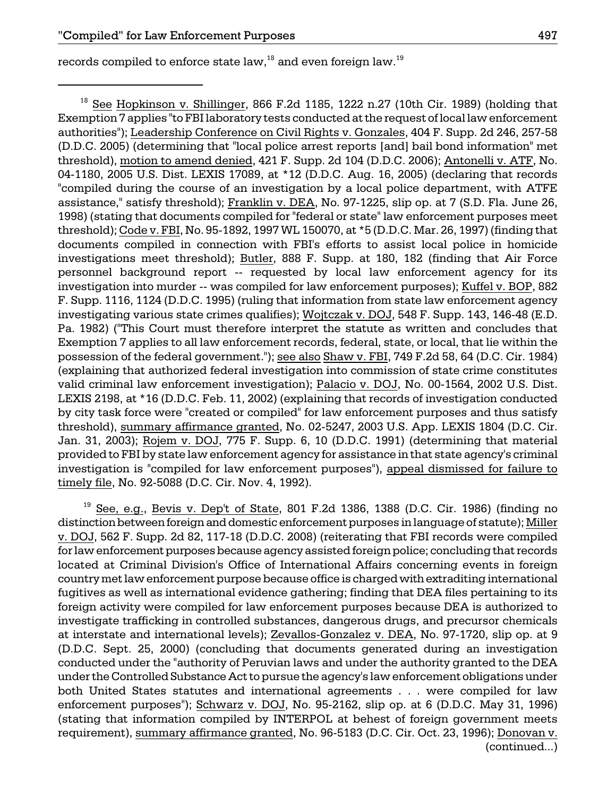records compiled to enforce state law,  $18$  and even foreign law.  $19$ 

 $18$  See Hopkinson v. Shillinger, 866 F.2d 1185, 1222 n.27 (10th Cir. 1989) (holding that Exemption 7 applies "to FBI laboratory tests conducted at the request of local law enforcement authorities"); Leadership Conference on Civil Rights v. Gonzales, 404 F. Supp. 2d 246, 257-58 (D.D.C. 2005) (determining that "local police arrest reports [and] bail bond information" met threshold), motion to amend denied, 421 F. Supp. 2d 104 (D.D.C. 2006); Antonelli v. ATF, No. 04-1180, 2005 U.S. Dist. LEXIS 17089, at \*12 (D.D.C. Aug. 16, 2005) (declaring that records "compiled during the course of an investigation by a local police department, with ATFE assistance," satisfy threshold); Franklin v. DEA, No. 97-1225, slip op. at 7 (S.D. Fla. June 26, 1998) (stating that documents compiled for "federal or state" law enforcement purposes meet threshold); Code v. FBI, No. 95-1892, 1997 WL 150070, at \*5 (D.D.C. Mar. 26, 1997) (finding that documents compiled in connection with FBI's efforts to assist local police in homicide investigations meet threshold); Butler, 888 F. Supp. at 180, 182 (finding that Air Force personnel background report -- requested by local law enforcement agency for its investigation into murder -- was compiled for law enforcement purposes); Kuffel v. BOP, 882 F. Supp. 1116, 1124 (D.D.C. 1995) (ruling that information from state law enforcement agency investigating various state crimes qualifies); Wojtczak v. DOJ, 548 F. Supp. 143, 146-48 (E.D. Pa. 1982) ("This Court must therefore interpret the statute as written and concludes that Exemption 7 applies to all law enforcement records, federal, state, or local, that lie within the possession of the federal government."); see also Shaw v. FBI, 749 F.2d 58, 64 (D.C. Cir. 1984) (explaining that authorized federal investigation into commission of state crime constitutes valid criminal law enforcement investigation); Palacio v. DOJ, No. 00-1564, 2002 U.S. Dist. LEXIS 2198, at \*16 (D.D.C. Feb. 11, 2002) (explaining that records of investigation conducted by city task force were "created or compiled" for law enforcement purposes and thus satisfy threshold), summary affirmance granted, No. 02-5247, 2003 U.S. App. LEXIS 1804 (D.C. Cir. Jan. 31, 2003); Rojem v. DOJ, 775 F. Supp. 6, 10 (D.D.C. 1991) (determining that material provided to FBI by state law enforcement agency for assistance in that state agency's criminal investigation is "compiled for law enforcement purposes"), appeal dismissed for failure to timely file, No. 92-5088 (D.C. Cir. Nov. 4, 1992).

 $19$  See, e.g., Bevis v. Dep't of State, 801 F.2d 1386, 1388 (D.C. Cir. 1986) (finding no distinction between foreign and domestic enforcement purposes in language of statute); Miller v. DOJ, 562 F. Supp. 2d 82, 117-18 (D.D.C. 2008) (reiterating that FBI records were compiled for law enforcement purposes because agency assisted foreign police; concluding that records located at Criminal Division's Office of International Affairs concerning events in foreign country met law enforcement purpose because office is charged with extraditing international fugitives as well as international evidence gathering; finding that DEA files pertaining to its foreign activity were compiled for law enforcement purposes because DEA is authorized to investigate trafficking in controlled substances, dangerous drugs, and precursor chemicals at interstate and international levels); Zevallos-Gonzalez v. DEA, No. 97-1720, slip op. at 9 (D.D.C. Sept. 25, 2000) (concluding that documents generated during an investigation conducted under the "authority of Peruvian laws and under the authority granted to the DEA under the Controlled Substance Act to pursue the agency's law enforcement obligations under both United States statutes and international agreements . . . were compiled for law enforcement purposes"); Schwarz v. DOJ, No. 95-2162, slip op. at 6 (D.D.C. May 31, 1996) (stating that information compiled by INTERPOL at behest of foreign government meets requirement), summary affirmance granted, No. 96-5183 (D.C. Cir. Oct. 23, 1996); Donovan v. (continued...)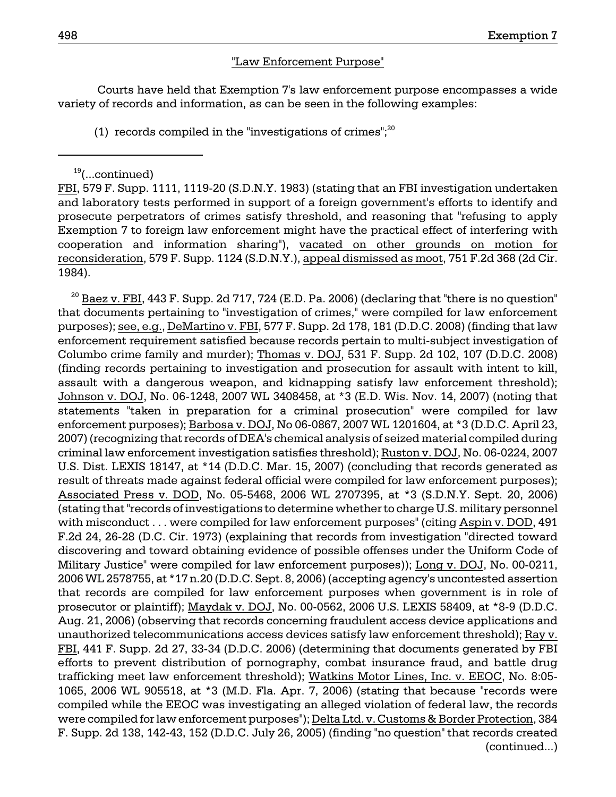### "Law Enforcement Purpose"

 Courts have held that Exemption 7's law enforcement purpose encompasses a wide variety of records and information, as can be seen in the following examples:

(1) records compiled in the "investigations of crimes"; $^{20}$ 

FBI, 579 F. Supp. 1111, 1119-20 (S.D.N.Y. 1983) (stating that an FBI investigation undertaken and laboratory tests performed in support of a foreign government's efforts to identify and prosecute perpetrators of crimes satisfy threshold, and reasoning that "refusing to apply Exemption 7 to foreign law enforcement might have the practical effect of interfering with cooperation and information sharing"), vacated on other grounds on motion for reconsideration, 579 F. Supp. 1124 (S.D.N.Y.), appeal dismissed as moot, 751 F.2d 368 (2d Cir. 1984).

 $^{20}$  Baez v. FBI, 443 F. Supp. 2d 717, 724 (E.D. Pa. 2006) (declaring that "there is no question" that documents pertaining to "investigation of crimes," were compiled for law enforcement purposes); see, e.g., DeMartino v. FBI, 577 F. Supp. 2d 178, 181 (D.D.C. 2008) (finding that law enforcement requirement satisfied because records pertain to multi-subject investigation of Columbo crime family and murder); Thomas v. DOJ, 531 F. Supp. 2d 102, 107 (D.D.C. 2008) (finding records pertaining to investigation and prosecution for assault with intent to kill, assault with a dangerous weapon, and kidnapping satisfy law enforcement threshold); Johnson v. DOJ, No. 06-1248, 2007 WL 3408458, at \*3 (E.D. Wis. Nov. 14, 2007) (noting that statements "taken in preparation for a criminal prosecution" were compiled for law enforcement purposes); Barbosa v. DOJ, No 06-0867, 2007 WL 1201604, at \*3 (D.D.C. April 23, 2007) (recognizing that records of DEA's chemical analysis of seized material compiled during criminal law enforcement investigation satisfies threshold); Ruston v. DOJ, No. 06-0224, 2007 U.S. Dist. LEXIS 18147, at \*14 (D.D.C. Mar. 15, 2007) (concluding that records generated as result of threats made against federal official were compiled for law enforcement purposes); Associated Press v. DOD, No. 05-5468, 2006 WL 2707395, at \*3 (S.D.N.Y. Sept. 20, 2006) (stating that "records of investigations to determine whether to charge U.S. military personnel with misconduct . . . were compiled for law enforcement purposes" (citing Aspin v. DOD, 491 F.2d 24, 26-28 (D.C. Cir. 1973) (explaining that records from investigation "directed toward discovering and toward obtaining evidence of possible offenses under the Uniform Code of Military Justice" were compiled for law enforcement purposes)); Long v. DOJ, No. 00-0211, 2006 WL 2578755, at \*17 n.20 (D.D.C. Sept. 8, 2006) (accepting agency's uncontested assertion that records are compiled for law enforcement purposes when government is in role of prosecutor or plaintiff); Maydak v. DOJ, No. 00-0562, 2006 U.S. LEXIS 58409, at \*8-9 (D.D.C. Aug. 21, 2006) (observing that records concerning fraudulent access device applications and unauthorized telecommunications access devices satisfy law enforcement threshold); Ray v. FBI, 441 F. Supp. 2d 27, 33-34 (D.D.C. 2006) (determining that documents generated by FBI efforts to prevent distribution of pornography, combat insurance fraud, and battle drug trafficking meet law enforcement threshold); Watkins Motor Lines, Inc. v. EEOC, No. 8:05 1065, 2006 WL 905518, at \*3 (M.D. Fla. Apr. 7, 2006) (stating that because "records were compiled while the EEOC was investigating an alleged violation of federal law, the records were compiled for law enforcement purposes"); Delta Ltd. v. Customs & Border Protection, 384 F. Supp. 2d 138, 142-43, 152 (D.D.C. July 26, 2005) (finding "no question" that records created (continued...)

 $19$ (...continued)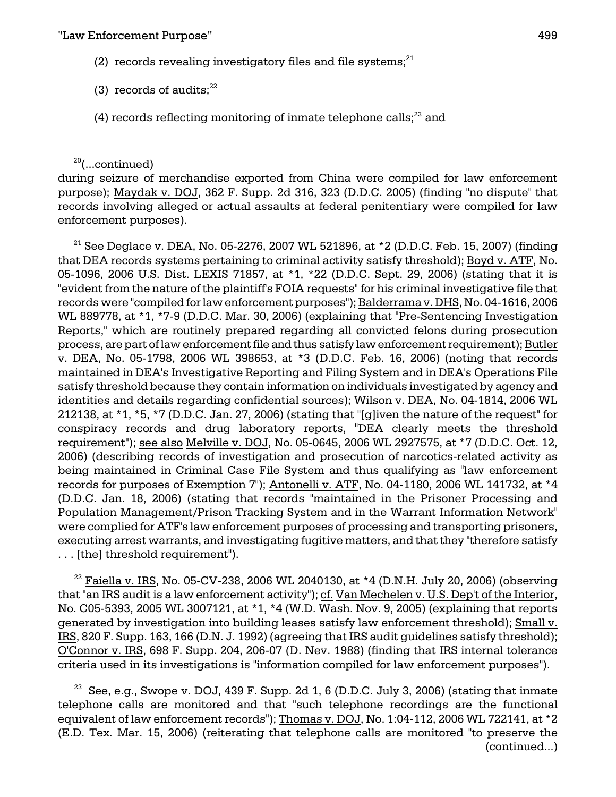- (2) records revealing investigatory files and file systems; $^{21}$
- (3) records of audits: $22$
- $(4)$  records reflecting monitoring of inmate telephone calls;<sup>23</sup> and

 $20$ (...continued)

during seizure of merchandise exported from China were compiled for law enforcement purpose); Maydak v. DOJ, 362 F. Supp. 2d 316, 323 (D.D.C. 2005) (finding "no dispute" that records involving alleged or actual assaults at federal penitentiary were compiled for law enforcement purposes).

 $^{21}$  See Deglace v. DEA, No. 05-2276, 2007 WL 521896, at \*2 (D.D.C. Feb. 15, 2007) (finding that DEA records systems pertaining to criminal activity satisfy threshold); Boyd v. ATF, No. 05-1096, 2006 U.S. Dist. LEXIS 71857, at \*1, \*22 (D.D.C. Sept. 29, 2006) (stating that it is "evident from the nature of the plaintiff's FOIA requests" for his criminal investigative file that records were "compiled for law enforcement purposes"); Balderrama v. DHS, No. 04-1616, 2006 WL 889778, at \*1, \*7-9 (D.D.C. Mar. 30, 2006) (explaining that "Pre-Sentencing Investigation Reports," which are routinely prepared regarding all convicted felons during prosecution process, are part of law enforcement file and thus satisfy law enforcement requirement); Butler v. DEA, No. 05-1798, 2006 WL 398653, at \*3 (D.D.C. Feb. 16, 2006) (noting that records maintained in DEA's Investigative Reporting and Filing System and in DEA's Operations File satisfy threshold because they contain information on individuals investigated by agency and identities and details regarding confidential sources); Wilson v. DEA, No. 04-1814, 2006 WL 212138, at \*1, \*5, \*7 (D.D.C. Jan. 27, 2006) (stating that "[g]iven the nature of the request" for conspiracy records and drug laboratory reports, "DEA clearly meets the threshold requirement"); see also Melville v. DOJ, No. 05-0645, 2006 WL 2927575, at \*7 (D.D.C. Oct. 12, 2006) (describing records of investigation and prosecution of narcotics-related activity as being maintained in Criminal Case File System and thus qualifying as "law enforcement records for purposes of Exemption 7"); Antonelli v. ATF, No. 04-1180, 2006 WL 141732, at \*4 (D.D.C. Jan. 18, 2006) (stating that records "maintained in the Prisoner Processing and Population Management/Prison Tracking System and in the Warrant Information Network" were complied for ATF's law enforcement purposes of processing and transporting prisoners, executing arrest warrants, and investigating fugitive matters, and that they "therefore satisfy . . . [the] threshold requirement").

<sup>22</sup> Faiella v. IRS, No. 05-CV-238, 2006 WL 2040130, at \*4 (D.N.H. July 20, 2006) (observing that "an IRS audit is a law enforcement activity"); cf. Van Mechelen v. U.S. Dep't of the Interior, No. C05-5393, 2005 WL 3007121, at \*1, \*4 (W.D. Wash. Nov. 9, 2005) (explaining that reports generated by investigation into building leases satisfy law enforcement threshold); Small v. IRS, 820 F. Supp. 163, 166 (D.N. J. 1992) (agreeing that IRS audit guidelines satisfy threshold); O'Connor v. IRS, 698 F. Supp. 204, 206-07 (D. Nev. 1988) (finding that IRS internal tolerance criteria used in its investigations is "information compiled for law enforcement purposes").

See, e.g., Swope v. DOJ, 439 F. Supp. 2d 1, 6 (D.D.C. July 3, 2006) (stating that inmate telephone calls are monitored and that "such telephone recordings are the functional equivalent of law enforcement records"); Thomas v. DOJ, No. 1:04-112, 2006 WL 722141, at \*2 (E.D. Tex. Mar. 15, 2006) (reiterating that telephone calls are monitored "to preserve the (continued...)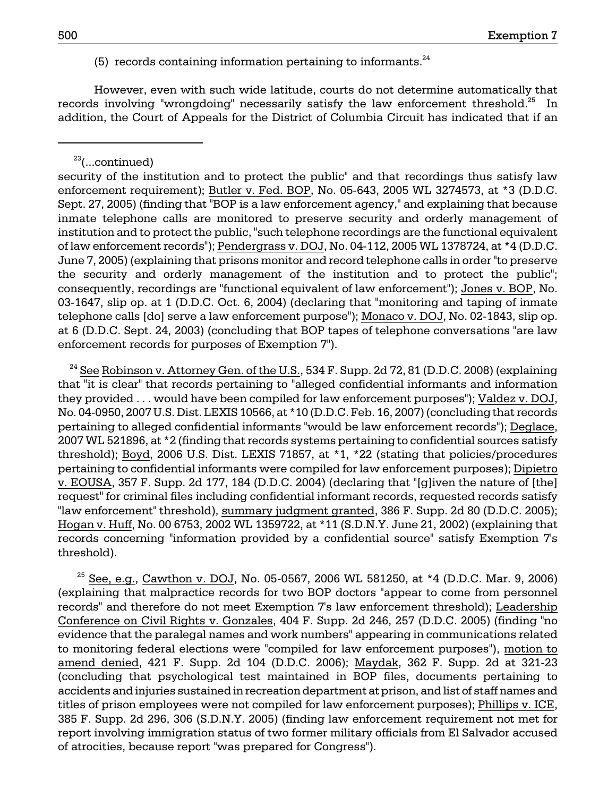(5) records containing information pertaining to informants. $^{24}$ 

However, even with such wide latitude, courts do not determine automatically that records involving "wrongdoing" necessarily satisfy the law enforcement threshold.<sup>25</sup> In addition, the Court of Appeals for the District of Columbia Circuit has indicated that if an

 $^{24}$  See Robinson v. Attorney Gen. of the U.S., 534 F. Supp. 2d 72, 81 (D.D.C. 2008) (explaining that "it is clear" that records pertaining to "alleged confidential informants and information they provided . . . would have been compiled for law enforcement purposes"); Valdez v. DOJ, No. 04-0950, 2007 U.S. Dist. LEXIS 10566, at \*10 (D.D.C. Feb. 16, 2007) (concluding that records pertaining to alleged confidential informants "would be law enforcement records"); Deglace, 2007 WL 521896, at \*2 (finding that records systems pertaining to confidential sources satisfy threshold); Boyd, 2006 U.S. Dist. LEXIS 71857, at \*1, \*22 (stating that policies/procedures pertaining to confidential informants were compiled for law enforcement purposes); Dipietro v. EOUSA, 357 F. Supp. 2d 177, 184 (D.D.C. 2004) (declaring that "[g]iven the nature of [the] request" for criminal files including confidential informant records, requested records satisfy "law enforcement" threshold), summary judgment granted, 386 F. Supp. 2d 80 (D.D.C. 2005); Hogan v. Huff, No. 00 6753, 2002 WL 1359722, at \*11 (S.D.N.Y. June 21, 2002) (explaining that records concerning "information provided by a confidential source" satisfy Exemption 7's threshold).

 $^{25}$  See, e.g., Cawthon v. DOJ, No. 05-0567, 2006 WL 581250, at \*4 (D.D.C. Mar. 9, 2006) (explaining that malpractice records for two BOP doctors "appear to come from personnel records" and therefore do not meet Exemption 7's law enforcement threshold); Leadership Conference on Civil Rights v. Gonzales, 404 F. Supp. 2d 246, 257 (D.D.C. 2005) (finding "no evidence that the paralegal names and work numbers" appearing in communications related to monitoring federal elections were "compiled for law enforcement purposes"), motion to amend denied, 421 F. Supp. 2d 104 (D.D.C. 2006); Maydak, 362 F. Supp. 2d at 321-23 (concluding that psychological test maintained in BOP files, documents pertaining to accidents and injuries sustained in recreation department at prison, and list of staff names and titles of prison employees were not compiled for law enforcement purposes); Phillips v. ICE, 385 F. Supp. 2d 296, 306 (S.D.N.Y. 2005) (finding law enforcement requirement not met for report involving immigration status of two former military officials from El Salvador accused of atrocities, because report "was prepared for Congress").

 $23$ (...continued)

security of the institution and to protect the public" and that recordings thus satisfy law enforcement requirement); Butler v. Fed. BOP, No. 05-643, 2005 WL 3274573, at \*3 (D.D.C. Sept. 27, 2005) (finding that "BOP is a law enforcement agency," and explaining that because inmate telephone calls are monitored to preserve security and orderly management of institution and to protect the public, "such telephone recordings are the functional equivalent of law enforcement records"); Pendergrass v. DOJ, No. 04-112, 2005 WL 1378724, at \*4 (D.D.C. June 7, 2005) (explaining that prisons monitor and record telephone calls in order "to preserve the security and orderly management of the institution and to protect the public"; consequently, recordings are "functional equivalent of law enforcement"); Jones v. BOP, No. 03-1647, slip op. at 1 (D.D.C. Oct. 6, 2004) (declaring that "monitoring and taping of inmate telephone calls [do] serve a law enforcement purpose"); Monaco v. DOJ, No. 02-1843, slip op. at 6 (D.D.C. Sept. 24, 2003) (concluding that BOP tapes of telephone conversations "are law enforcement records for purposes of Exemption 7").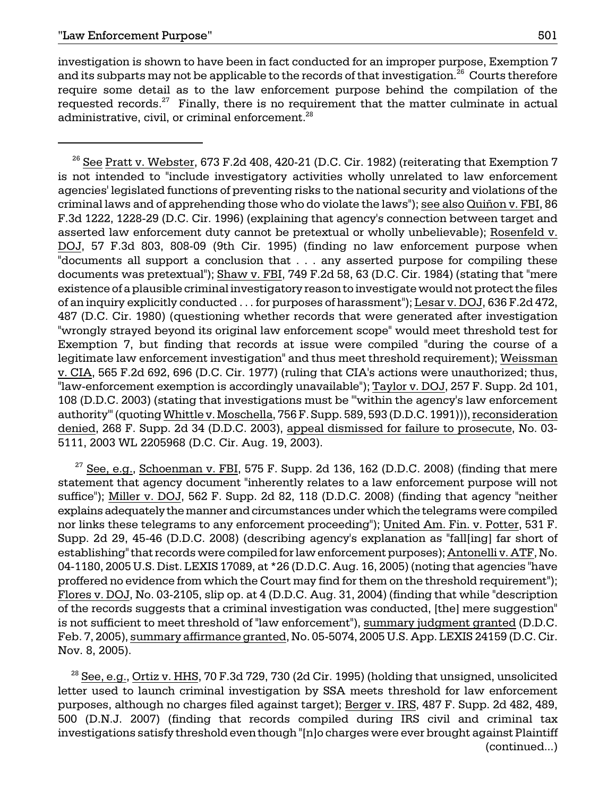investigation is shown to have been in fact conducted for an improper purpose, Exemption 7 and its subparts may not be applicable to the records of that investigation.<sup>26</sup> Courts therefore require some detail as to the law enforcement purpose behind the compilation of the requested records. $27$  Finally, there is no requirement that the matter culminate in actual administrative, civil, or criminal enforcement.<sup>28</sup>

<sup>26</sup> See Pratt v. Webster, 673 F.2d 408, 420-21 (D.C. Cir. 1982) (reiterating that Exemption 7 is not intended to "include investigatory activities wholly unrelated to law enforcement agencies' legislated functions of preventing risks to the national security and violations of the criminal laws and of apprehending those who do violate the laws"); see also Quiñon v. FBI, 86 F.3d 1222, 1228-29 (D.C. Cir. 1996) (explaining that agency's connection between target and asserted law enforcement duty cannot be pretextual or wholly unbelievable); Rosenfeld v. DOJ, 57 F.3d 803, 808-09 (9th Cir. 1995) (finding no law enforcement purpose when "documents all support a conclusion that . . . any asserted purpose for compiling these documents was pretextual"); Shaw v. FBI, 749 F.2d 58, 63 (D.C. Cir. 1984) (stating that "mere existence of a plausible criminal investigatory reason to investigate would not protect the files of an inquiry explicitly conducted . . . for purposes of harassment"); Lesar v. DOJ, 636 F.2d 472, 487 (D.C. Cir. 1980) (questioning whether records that were generated after investigation "wrongly strayed beyond its original law enforcement scope" would meet threshold test for Exemption 7, but finding that records at issue were compiled "during the course of a legitimate law enforcement investigation" and thus meet threshold requirement); Weissman v. CIA, 565 F.2d 692, 696 (D.C. Cir. 1977) (ruling that CIA's actions were unauthorized; thus, "law-enforcement exemption is accordingly unavailable"); Taylor v. DOJ, 257 F. Supp. 2d 101, 108 (D.D.C. 2003) (stating that investigations must be "'within the agency's law enforcement authority"' (quoting Whittle v. Moschella, 756 F. Supp. 589, 593 (D.D.C. 1991))), reconsideration denied, 268 F. Supp. 2d 34 (D.D.C. 2003), appeal dismissed for failure to prosecute, No. 03 5111, 2003 WL 2205968 (D.C. Cir. Aug. 19, 2003).

 $27$  See, e.g., Schoenman v. FBI, 575 F. Supp. 2d 136, 162 (D.D.C. 2008) (finding that mere statement that agency document "inherently relates to a law enforcement purpose will not suffice"); Miller v. DOJ, 562 F. Supp. 2d 82, 118 (D.D.C. 2008) (finding that agency "neither explains adequately the manner and circumstances under which the telegrams were compiled nor links these telegrams to any enforcement proceeding"); United Am. Fin. v. Potter, 531 F. Supp. 2d 29, 45-46 (D.D.C. 2008) (describing agency's explanation as "fall[ing] far short of establishing" that records were compiled for law enforcement purposes); Antonelli v. ATF, No. 04-1180, 2005 U.S. Dist. LEXIS 17089, at \*26 (D.D.C. Aug. 16, 2005) (noting that agencies "have proffered no evidence from which the Court may find for them on the threshold requirement"); Flores v. DOJ, No. 03-2105, slip op. at 4 (D.D.C. Aug. 31, 2004) (finding that while "description of the records suggests that a criminal investigation was conducted, [the] mere suggestion" is not sufficient to meet threshold of "law enforcement"), summary judgment granted (D.D.C. Feb. 7, 2005), summary affirmance granted, No. 05-5074, 2005 U.S. App. LEXIS 24159 (D.C. Cir. Nov. 8, 2005).

 $^{28}$  See, e.g., Ortiz v. HHS, 70 F.3d 729, 730 (2d Cir. 1995) (holding that unsigned, unsolicited letter used to launch criminal investigation by SSA meets threshold for law enforcement purposes, although no charges filed against target); Berger v. IRS, 487 F. Supp. 2d 482, 489, 500 (D.N.J. 2007) (finding that records compiled during IRS civil and criminal tax investigations satisfy threshold even though "[n]o charges were ever brought against Plaintiff (continued...)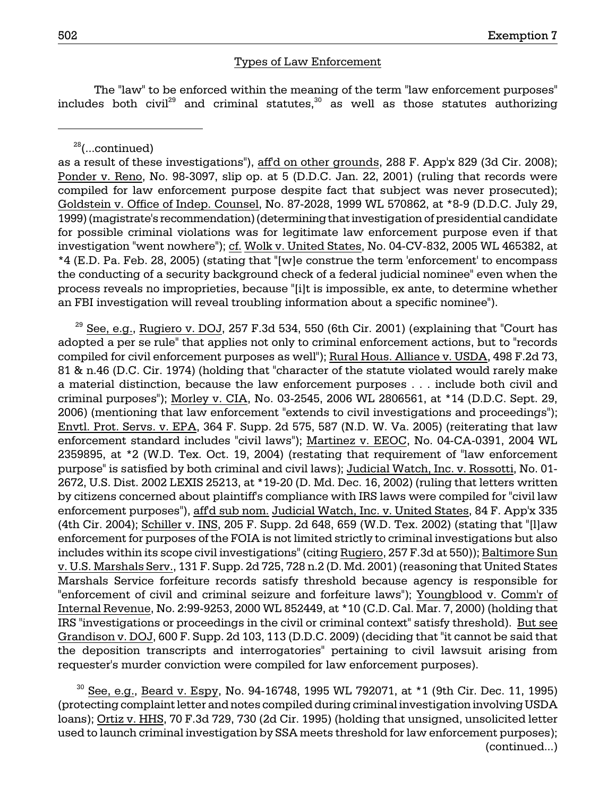## Types of Law Enforcement

The "law" to be enforced within the meaning of the term "law enforcement purposes" includes both civil<sup>29</sup> and criminal statutes, $30$  as well as those statutes authorizing

 $28$ (...continued)

as a result of these investigations"), aff'd on other grounds, 288 F. App'x 829 (3d Cir. 2008); Ponder v. Reno, No. 98-3097, slip op. at 5 (D.D.C. Jan. 22, 2001) (ruling that records were compiled for law enforcement purpose despite fact that subject was never prosecuted); Goldstein v. Office of Indep. Counsel, No. 87-2028, 1999 WL 570862, at \*8-9 (D.D.C. July 29, 1999) (magistrate's recommendation) (determining that investigation of presidential candidate for possible criminal violations was for legitimate law enforcement purpose even if that investigation "went nowhere"); cf. Wolk v. United States, No. 04-CV-832, 2005 WL 465382, at \*4 (E.D. Pa. Feb. 28, 2005) (stating that "[w]e construe the term 'enforcement' to encompass the conducting of a security background check of a federal judicial nominee" even when the process reveals no improprieties, because "[i]t is impossible, ex ante, to determine whether an FBI investigation will reveal troubling information about a specific nominee").

 $29$  See, e.g., Rugiero v. DOJ, 257 F.3d 534, 550 (6th Cir. 2001) (explaining that "Court has adopted a per se rule" that applies not only to criminal enforcement actions, but to "records compiled for civil enforcement purposes as well"); Rural Hous. Alliance v. USDA, 498 F.2d 73, 81 & n.46 (D.C. Cir. 1974) (holding that "character of the statute violated would rarely make a material distinction, because the law enforcement purposes . . . include both civil and criminal purposes"); Morley v. CIA, No. 03-2545, 2006 WL 2806561, at \*14 (D.D.C. Sept. 29, 2006) (mentioning that law enforcement "extends to civil investigations and proceedings"); Envtl. Prot. Servs. v. EPA, 364 F. Supp. 2d 575, 587 (N.D. W. Va. 2005) (reiterating that law enforcement standard includes "civil laws"); Martinez v. EEOC, No. 04-CA-0391, 2004 WL 2359895, at \*2 (W.D. Tex. Oct. 19, 2004) (restating that requirement of "law enforcement purpose" is satisfied by both criminal and civil laws); Judicial Watch, Inc. v. Rossotti, No. 01 2672, U.S. Dist. 2002 LEXIS 25213, at \*19-20 (D. Md. Dec. 16, 2002) (ruling that letters written by citizens concerned about plaintiff's compliance with IRS laws were compiled for "civil law enforcement purposes"), aff'd sub nom. Judicial Watch, Inc. v. United States, 84 F. App'x 335 (4th Cir. 2004); Schiller v. INS, 205 F. Supp. 2d 648, 659 (W.D. Tex. 2002) (stating that "[l]aw enforcement for purposes of the FOIA is not limited strictly to criminal investigations but also includes within its scope civil investigations" (citing Rugiero, 257 F.3d at 550)); Baltimore Sun v. U.S. Marshals Serv., 131 F. Supp. 2d 725, 728 n.2 (D. Md. 2001) (reasoning that United States Marshals Service forfeiture records satisfy threshold because agency is responsible for "enforcement of civil and criminal seizure and forfeiture laws"); Youngblood v. Comm'r of Internal Revenue, No. 2:99-9253, 2000 WL 852449, at \*10 (C.D. Cal. Mar. 7, 2000) (holding that IRS "investigations or proceedings in the civil or criminal context" satisfy threshold). But see Grandison v. DOJ, 600 F. Supp. 2d 103, 113 (D.D.C. 2009) (deciding that "it cannot be said that the deposition transcripts and interrogatories" pertaining to civil lawsuit arising from requester's murder conviction were compiled for law enforcement purposes).

 $30$  See, e.g., Beard v. Espy, No. 94-16748, 1995 WL 792071, at  $*1$  (9th Cir. Dec. 11, 1995) (protecting complaint letter and notes compiled during criminal investigation involving USDA loans); Ortiz v. HHS, 70 F.3d 729, 730 (2d Cir. 1995) (holding that unsigned, unsolicited letter used to launch criminal investigation by SSA meets threshold for law enforcement purposes); (continued...)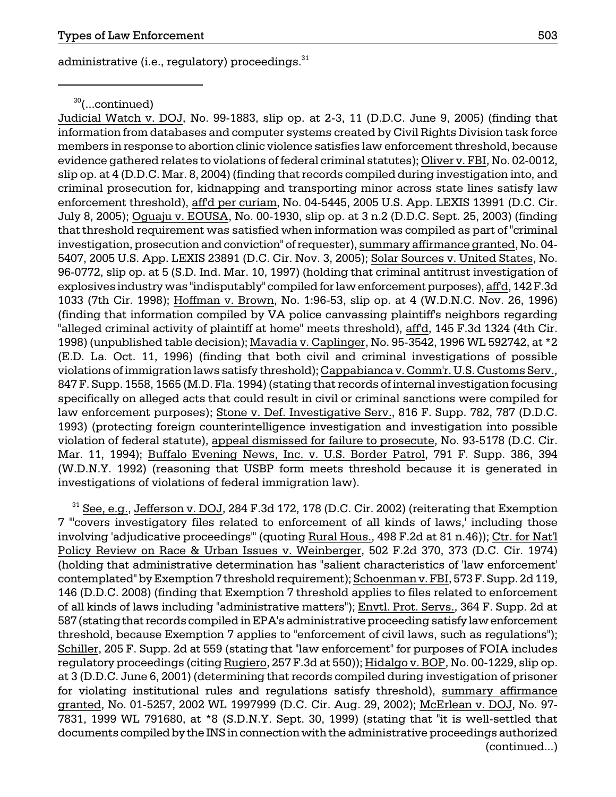administrative (i.e., regulatory) proceedings.<sup>31</sup>

 $30$ (...continued)

Judicial Watch v. DOJ, No. 99-1883, slip op. at 2-3, 11 (D.D.C. June 9, 2005) (finding that information from databases and computer systems created by Civil Rights Division task force members in response to abortion clinic violence satisfies law enforcement threshold, because evidence gathered relates to violations of federal criminal statutes); Oliver v. FBI, No. 02-0012, slip op. at 4 (D.D.C. Mar. 8, 2004) (finding that records compiled during investigation into, and criminal prosecution for, kidnapping and transporting minor across state lines satisfy law enforcement threshold), affd per curiam, No. 04-5445, 2005 U.S. App. LEXIS 13991 (D.C. Cir. July 8, 2005); Oguaju v. EOUSA, No. 00-1930, slip op. at 3 n.2 (D.D.C. Sept. 25, 2003) (finding that threshold requirement was satisfied when information was compiled as part of "criminal investigation, prosecution and conviction" of requester), summary affirmance granted, No. 04 5407, 2005 U.S. App. LEXIS 23891 (D.C. Cir. Nov. 3, 2005); Solar Sources v. United States, No. 96-0772, slip op. at 5 (S.D. Ind. Mar. 10, 1997) (holding that criminal antitrust investigation of explosives industry was "indisputably" compiled for law enforcement purposes), aff'd, 142 F.3d 1033 (7th Cir. 1998); Hoffman v. Brown, No. 1:96-53, slip op. at 4 (W.D.N.C. Nov. 26, 1996) (finding that information compiled by VA police canvassing plaintiff's neighbors regarding "alleged criminal activity of plaintiff at home" meets threshold), aff'd, 145 F.3d 1324 (4th Cir. 1998) (unpublished table decision); Mavadia v. Caplinger, No. 95-3542, 1996 WL 592742, at \*2 (E.D. La. Oct. 11, 1996) (finding that both civil and criminal investigations of possible violations of immigration laws satisfy threshold); Cappabianca v. Comm'r. U.S. Customs Serv., 847 F. Supp. 1558, 1565 (M.D. Fla. 1994) (stating that records of internal investigation focusing specifically on alleged acts that could result in civil or criminal sanctions were compiled for law enforcement purposes); Stone v. Def. Investigative Serv., 816 F. Supp. 782, 787 (D.D.C. 1993) (protecting foreign counterintelligence investigation and investigation into possible violation of federal statute), appeal dismissed for failure to prosecute, No. 93-5178 (D.C. Cir. Mar. 11, 1994); Buffalo Evening News, Inc. v. U.S. Border Patrol, 791 F. Supp. 386, 394 (W.D.N.Y. 1992) (reasoning that USBP form meets threshold because it is generated in investigations of violations of federal immigration law).

 $31$  See, e.g., Jefferson v. DOJ, 284 F.3d 172, 178 (D.C. Cir. 2002) (reiterating that Exemption 7 "'covers investigatory files related to enforcement of all kinds of laws,' including those involving 'adjudicative proceedings'" (quoting Rural Hous., 498 F.2d at 81 n.46)); Ctr. for Nat'l Policy Review on Race & Urban Issues v. Weinberger, 502 F.2d 370, 373 (D.C. Cir. 1974) (holding that administrative determination has "salient characteristics of 'law enforcement' contemplated" by Exemption 7 threshold requirement); Schoenman v. FBI, 573 F. Supp. 2d 119, 146 (D.D.C. 2008) (finding that Exemption 7 threshold applies to files related to enforcement of all kinds of laws including "administrative matters"); Envtl. Prot. Servs., 364 F. Supp. 2d at 587 (stating that records compiled in EPA's administrative proceeding satisfy law enforcement threshold, because Exemption 7 applies to "enforcement of civil laws, such as regulations"); Schiller, 205 F. Supp. 2d at 559 (stating that "law enforcement" for purposes of FOIA includes regulatory proceedings (citing Rugiero, 257 F.3d at 550)); Hidalgo v. BOP, No. 00-1229, slip op. at 3 (D.D.C. June 6, 2001) (determining that records compiled during investigation of prisoner for violating institutional rules and regulations satisfy threshold), summary affirmance granted, No. 01-5257, 2002 WL 1997999 (D.C. Cir. Aug. 29, 2002); McErlean v. DOJ, No. 97-7831, 1999 WL 791680, at \*8 (S.D.N.Y. Sept. 30, 1999) (stating that "it is well-settled that documents compiled by the INS in connection with the administrative proceedings authorized (continued...)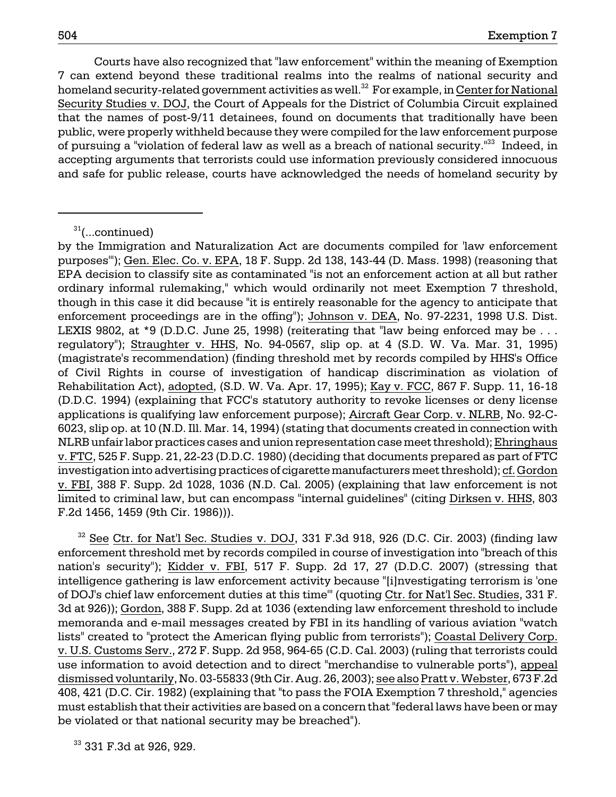Courts have also recognized that "law enforcement" within the meaning of Exemption 7 can extend beyond these traditional realms into the realms of national security and homeland security-related government activities as well.<sup>32</sup> For example, in Center for National Security Studies v. DOJ, the Court of Appeals for the District of Columbia Circuit explained that the names of post-9/11 detainees, found on documents that traditionally have been public, were properly withheld because they were compiled for the law enforcement purpose of pursuing a "violation of federal law as well as a breach of national security."33 Indeed, in accepting arguments that terrorists could use information previously considered innocuous and safe for public release, courts have acknowledged the needs of homeland security by

 $32$  See Ctr. for Nat'l Sec. Studies v. DOJ, 331 F.3d 918, 926 (D.C. Cir. 2003) (finding law enforcement threshold met by records compiled in course of investigation into "breach of this nation's security"); Kidder v. FBI, 517 F. Supp. 2d 17, 27 (D.D.C. 2007) (stressing that intelligence gathering is law enforcement activity because "[i]nvestigating terrorism is 'one of DOJ's chief law enforcement duties at this time'" (quoting Ctr. for Nat'l Sec. Studies, 331 F. 3d at 926)); Gordon, 388 F. Supp. 2d at 1036 (extending law enforcement threshold to include memoranda and e-mail messages created by FBI in its handling of various aviation "watch lists" created to "protect the American flying public from terrorists"); Coastal Delivery Corp. v. U.S. Customs Serv., 272 F. Supp. 2d 958, 964-65 (C.D. Cal. 2003) (ruling that terrorists could use information to avoid detection and to direct "merchandise to vulnerable ports"), appeal dismissed voluntarily, No. 03-55833 (9th Cir. Aug. 26, 2003); see also Pratt v. Webster, 673 F.2d 408, 421 (D.C. Cir. 1982) (explaining that "to pass the FOIA Exemption 7 threshold," agencies must establish that their activities are based on a concern that "federal laws have been or may be violated or that national security may be breached").

<sup>33</sup> 331 F.3d at 926, 929.

 $31$ (...continued)

by the Immigration and Naturalization Act are documents compiled for 'law enforcement purposes'"); Gen. Elec. Co. v. EPA, 18 F. Supp. 2d 138, 143-44 (D. Mass. 1998) (reasoning that EPA decision to classify site as contaminated "is not an enforcement action at all but rather ordinary informal rulemaking," which would ordinarily not meet Exemption 7 threshold, though in this case it did because "it is entirely reasonable for the agency to anticipate that enforcement proceedings are in the offing"); Johnson v. DEA, No. 97-2231, 1998 U.S. Dist. LEXIS 9802, at \*9 (D.D.C. June 25, 1998) (reiterating that "law being enforced may be ... regulatory"); Straughter v. HHS, No. 94-0567, slip op. at 4 (S.D. W. Va. Mar. 31, 1995) (magistrate's recommendation) (finding threshold met by records compiled by HHS's Office of Civil Rights in course of investigation of handicap discrimination as violation of Rehabilitation Act), adopted, (S.D. W. Va. Apr. 17, 1995); Kay v. FCC, 867 F. Supp. 11, 16-18 (D.D.C. 1994) (explaining that FCC's statutory authority to revoke licenses or deny license applications is qualifying law enforcement purpose); Aircraft Gear Corp. v. NLRB, No. 92-C-6023, slip op. at 10 (N.D. Ill. Mar. 14, 1994) (stating that documents created in connection with NLRB unfair labor practices cases and union representation case meet threshold); Ehringhaus v. FTC, 525 F. Supp. 21, 22-23 (D.D.C. 1980) (deciding that documents prepared as part of FTC investigation into advertising practices of cigarette manufacturers meet threshold); cf. Gordon v. FBI, 388 F. Supp. 2d 1028, 1036 (N.D. Cal. 2005) (explaining that law enforcement is not limited to criminal law, but can encompass "internal guidelines" (citing Dirksen v. HHS, 803 F.2d 1456, 1459 (9th Cir. 1986))).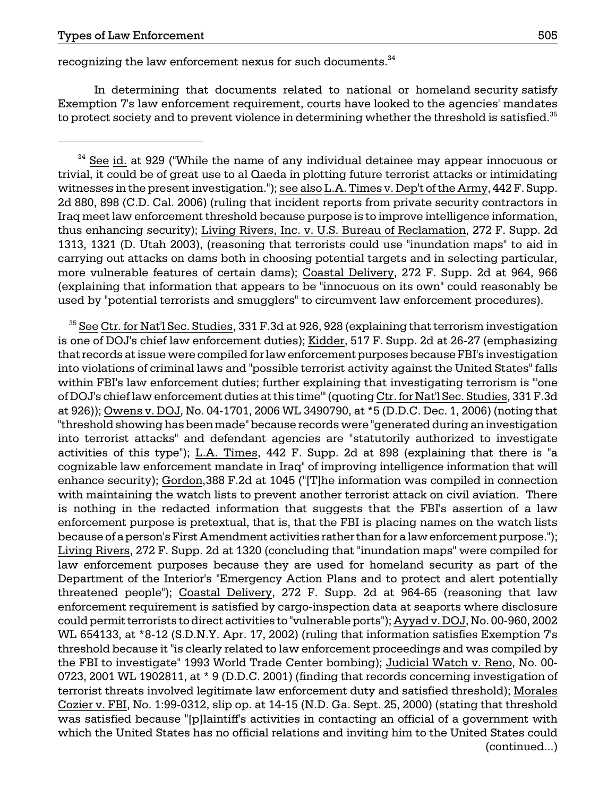recognizing the law enforcement nexus for such documents.<sup>34</sup>

In determining that documents related to national or homeland security satisfy Exemption 7's law enforcement requirement, courts have looked to the agencies' mandates to protect society and to prevent violence in determining whether the threshold is satisfied.<sup>35</sup>

of DOJ's chief law enforcement duties at this time'" (quoting Ctr. for Nat'l Sec. Studies, 331 F.3d is nothing in the redacted information that suggests that the FBI's assertion of a law <sup>35</sup> See Ctr. for Nat<sup>'</sup>l Sec. Studies, 331 F.3d at 926, 928 (explaining that terrorism investigation is one of DOJ's chief law enforcement duties); Kidder, 517 F. Supp. 2d at 26-27 (emphasizing that records at issue were compiled for law enforcement purposes because FBI's investigation into violations of criminal laws and "possible terrorist activity against the United States" falls within FBI's law enforcement duties; further explaining that investigating terrorism is "'one at 926)); Owens v. DOJ, No. 04-1701, 2006 WL 3490790, at \*5 (D.D.C. Dec. 1, 2006) (noting that "threshold showing has been made" because records were "generated during an investigation into terrorist attacks" and defendant agencies are "statutorily authorized to investigate activities of this type"); L.A. Times, 442 F. Supp. 2d at 898 (explaining that there is "a cognizable law enforcement mandate in Iraq" of improving intelligence information that will enhance security); Gordon,388 F.2d at 1045 ("[T]he information was compiled in connection with maintaining the watch lists to prevent another terrorist attack on civil aviation. There enforcement purpose is pretextual, that is, that the FBI is placing names on the watch lists because of a person's First Amendment activities rather than for a law enforcement purpose."); Living Rivers, 272 F. Supp. 2d at 1320 (concluding that "inundation maps" were compiled for law enforcement purposes because they are used for homeland security as part of the Department of the Interior's "Emergency Action Plans and to protect and alert potentially threatened people"); Coastal Delivery, 272 F. Supp. 2d at 964-65 (reasoning that law enforcement requirement is satisfied by cargo-inspection data at seaports where disclosure could permit terrorists to direct activities to "vulnerable ports"); Ayyad v. DOJ, No. 00-960, 2002 WL 654133, at \*8-12 (S.D.N.Y. Apr. 17, 2002) (ruling that information satisfies Exemption 7's threshold because it "is clearly related to law enforcement proceedings and was compiled by the FBI to investigate" 1993 World Trade Center bombing); Judicial Watch v. Reno, No. 00 0723, 2001 WL 1902811, at \* 9 (D.D.C. 2001) (finding that records concerning investigation of terrorist threats involved legitimate law enforcement duty and satisfied threshold); Morales Cozier v. FBI, No. 1:99-0312, slip op. at 14-15 (N.D. Ga. Sept. 25, 2000) (stating that threshold was satisfied because "[p]laintiff's activities in contacting an official of a government with which the United States has no official relations and inviting him to the United States could (continued...)

<sup>&</sup>lt;sup>34</sup> See id. at 929 ("While the name of any individual detainee may appear innocuous or trivial, it could be of great use to al Qaeda in plotting future terrorist attacks or intimidating witnesses in the present investigation."); see also L.A. Times v. Dep't of the Army, 442 F. Supp. 2d 880, 898 (C.D. Cal. 2006) (ruling that incident reports from private security contractors in Iraq meet law enforcement threshold because purpose is to improve intelligence information, thus enhancing security); Living Rivers, Inc. v. U.S. Bureau of Reclamation, 272 F. Supp. 2d 1313, 1321 (D. Utah 2003), (reasoning that terrorists could use "inundation maps" to aid in carrying out attacks on dams both in choosing potential targets and in selecting particular, more vulnerable features of certain dams); Coastal Delivery, 272 F. Supp. 2d at 964, 966 (explaining that information that appears to be "innocuous on its own" could reasonably be used by "potential terrorists and smugglers" to circumvent law enforcement procedures).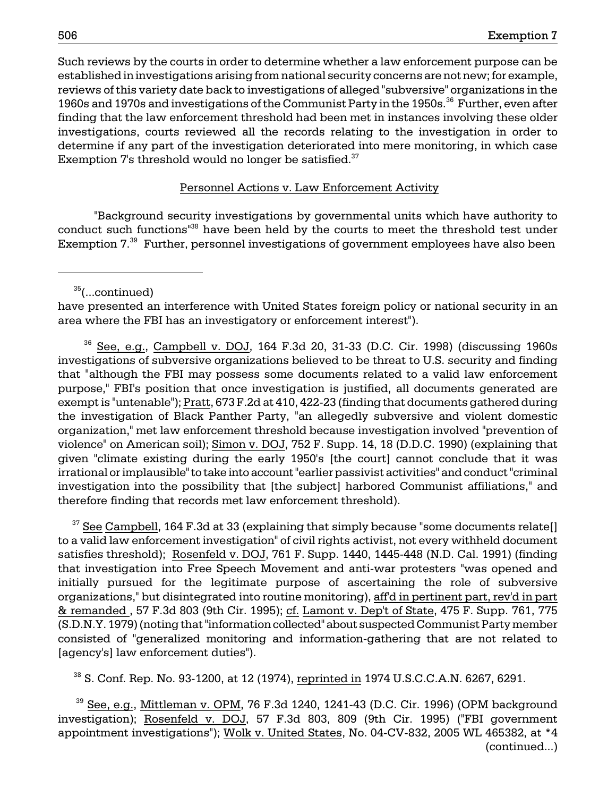Such reviews by the courts in order to determine whether a law enforcement purpose can be established in investigations arising from national security concerns are not new; for example, reviews of this variety date back to investigations of alleged "subversive" organizations in the 1960s and 1970s and investigations of the Communist Party in the 1950s.<sup>36</sup> Further, even after finding that the law enforcement threshold had been met in instances involving these older investigations, courts reviewed all the records relating to the investigation in order to determine if any part of the investigation deteriorated into mere monitoring, in which case Exemption  $7'$ s threshold would no longer be satisfied. $37'$ 

### Personnel Actions v. Law Enforcement Activity

"Background security investigations by governmental units which have authority to conduct such functions<sup>138</sup> have been held by the courts to meet the threshold test under Exemption 7.<sup>39</sup> Further, personnel investigations of government employees have also been

 $35$ (...continued)

have presented an interference with United States foreign policy or national security in an area where the FBI has an investigatory or enforcement interest").

 $36$  See, e.g., Campbell v. DOJ, 164 F.3d 20, 31-33 (D.C. Cir. 1998) (discussing 1960s investigations of subversive organizations believed to be threat to U.S. security and finding that "although the FBI may possess some documents related to a valid law enforcement purpose," FBI's position that once investigation is justified, all documents generated are exempt is "untenable"); Pratt, 673 F.2d at 410, 422-23 (finding that documents gathered during the investigation of Black Panther Party, "an allegedly subversive and violent domestic organization," met law enforcement threshold because investigation involved "prevention of violence" on American soil); Simon v. DOJ, 752 F. Supp. 14, 18 (D.D.C. 1990) (explaining that given "climate existing during the early 1950's [the court] cannot conclude that it was irrational or implausible" to take into account "earlier passivist activities" and conduct "criminal investigation into the possibility that [the subject] harbored Communist affiliations," and therefore finding that records met law enforcement threshold).

 $37$  See Campbell, 164 F.3d at 33 (explaining that simply because "some documents relate[] to a valid law enforcement investigation" of civil rights activist, not every withheld document satisfies threshold); Rosenfeld v. DOJ, 761 F. Supp. 1440, 1445-448 (N.D. Cal. 1991) (finding that investigation into Free Speech Movement and anti-war protesters "was opened and initially pursued for the legitimate purpose of ascertaining the role of subversive organizations," but disintegrated into routine monitoring), aff'd in pertinent part, rev'd in part & remanded , 57 F.3d 803 (9th Cir. 1995); cf. Lamont v. Dep't of State, 475 F. Supp. 761, 775 (S.D.N.Y. 1979) (noting that "information collected" about suspected Communist Party member consisted of "generalized monitoring and information-gathering that are not related to [agency's] law enforcement duties").

 $38$  S. Conf. Rep. No. 93-1200, at 12 (1974), reprinted in 1974 U.S.C.C.A.N. 6267, 6291.

 $39$  See, e.g., Mittleman v. OPM, 76 F.3d 1240, 1241-43 (D.C. Cir. 1996) (OPM background investigation); Rosenfeld v. DOJ, 57 F.3d 803, 809 (9th Cir. 1995) ("FBI government appointment investigations"); Wolk v. United States, No. 04-CV-832, 2005 WL 465382, at \*4 (continued...)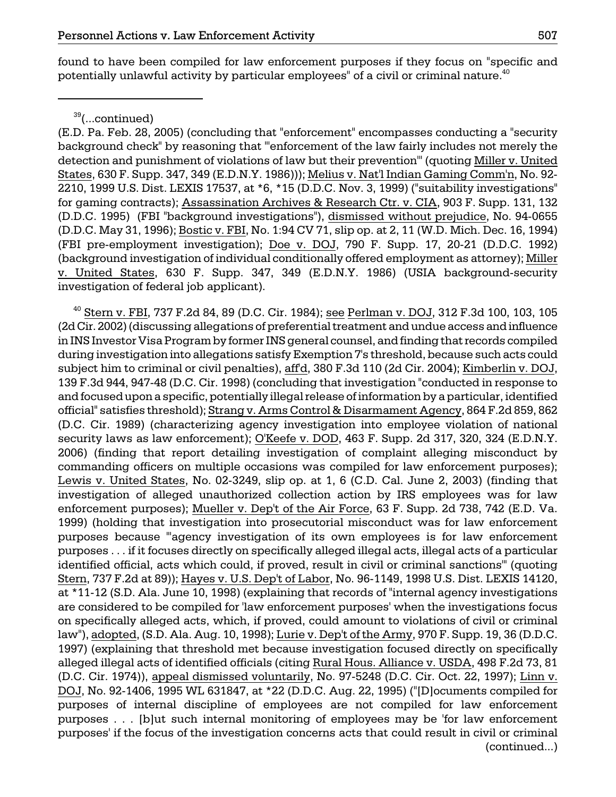found to have been compiled for law enforcement purposes if they focus on "specific and potentially unlawful activity by particular employees" of a civil or criminal nature. $40$ 

 $^{40}$  Stern v. FBI, 737 F.2d 84, 89 (D.C. Cir. 1984); see Perlman v. DOJ, 312 F.3d 100, 103, 105 (2d Cir. 2002) (discussing allegations of preferential treatment and undue access and influence in INS Investor Visa Program by former INS general counsel, and finding that records compiled during investigation into allegations satisfy Exemption 7's threshold, because such acts could subject him to criminal or civil penalties), aff'd, 380 F.3d 110 (2d Cir. 2004); Kimberlin v. DOJ, 139 F.3d 944, 947-48 (D.C. Cir. 1998) (concluding that investigation "conducted in response to and focused upon a specific, potentially illegal release of information by a particular, identified official" satisfies threshold); Strang v. Arms Control & Disarmament Agency, 864 F.2d 859, 862 (D.C. Cir. 1989) (characterizing agency investigation into employee violation of national security laws as law enforcement); O'Keefe v. DOD, 463 F. Supp. 2d 317, 320, 324 (E.D.N.Y. 2006) (finding that report detailing investigation of complaint alleging misconduct by commanding officers on multiple occasions was compiled for law enforcement purposes); Lewis v. United States, No. 02-3249, slip op. at 1, 6 (C.D. Cal. June 2, 2003) (finding that investigation of alleged unauthorized collection action by IRS employees was for law enforcement purposes); Mueller v. Dep't of the Air Force, 63 F. Supp. 2d 738, 742 (E.D. Va. 1999) (holding that investigation into prosecutorial misconduct was for law enforcement purposes because "'agency investigation of its own employees is for law enforcement purposes . . . if it focuses directly on specifically alleged illegal acts, illegal acts of a particular identified official, acts which could, if proved, result in civil or criminal sanctions'" (quoting Stern, 737 F.2d at 89)); Hayes v. U.S. Dep't of Labor, No. 96-1149, 1998 U.S. Dist. LEXIS 14120, at \*11-12 (S.D. Ala. June 10, 1998) (explaining that records of "internal agency investigations are considered to be compiled for 'law enforcement purposes' when the investigations focus on specifically alleged acts, which, if proved, could amount to violations of civil or criminal law"), adopted, (S.D. Ala. Aug. 10, 1998); Lurie v. Dep't of the Army, 970 F. Supp. 19, 36 (D.D.C. 1997) (explaining that threshold met because investigation focused directly on specifically alleged illegal acts of identified officials (citing Rural Hous. Alliance v. USDA, 498 F.2d 73, 81 (D.C. Cir. 1974)), appeal dismissed voluntarily, No. 97-5248 (D.C. Cir. Oct. 22, 1997); Linn v. DOJ, No. 92-1406, 1995 WL 631847, at \*22 (D.D.C. Aug. 22, 1995) ("[D]ocuments compiled for purposes of internal discipline of employees are not compiled for law enforcement purposes . . . [b]ut such internal monitoring of employees may be 'for law enforcement purposes' if the focus of the investigation concerns acts that could result in civil or criminal (continued...)

 $39$ (...continued)

<sup>(</sup>E.D. Pa. Feb. 28, 2005) (concluding that "enforcement" encompasses conducting a "security background check" by reasoning that "'enforcement of the law fairly includes not merely the detection and punishment of violations of law but their prevention'" (quoting Miller v. United States, 630 F. Supp. 347, 349 (E.D.N.Y. 1986))); Melius v. Nat'l Indian Gaming Comm'n, No. 92 2210, 1999 U.S. Dist. LEXIS 17537, at \*6, \*15 (D.D.C. Nov. 3, 1999) ("suitability investigations" for gaming contracts); Assassination Archives & Research Ctr. v. CIA, 903 F. Supp. 131, 132 (D.D.C. 1995) (FBI "background investigations"), dismissed without prejudice, No. 94-0655 (D.D.C. May 31, 1996); Bostic v. FBI, No. 1:94 CV 71, slip op. at 2, 11 (W.D. Mich. Dec. 16, 1994) (FBI pre-employment investigation); Doe v. DOJ, 790 F. Supp. 17, 20-21 (D.D.C. 1992) (background investigation of individual conditionally offered employment as attorney); Miller v. United States, 630 F. Supp. 347, 349 (E.D.N.Y. 1986) (USIA background-security investigation of federal job applicant).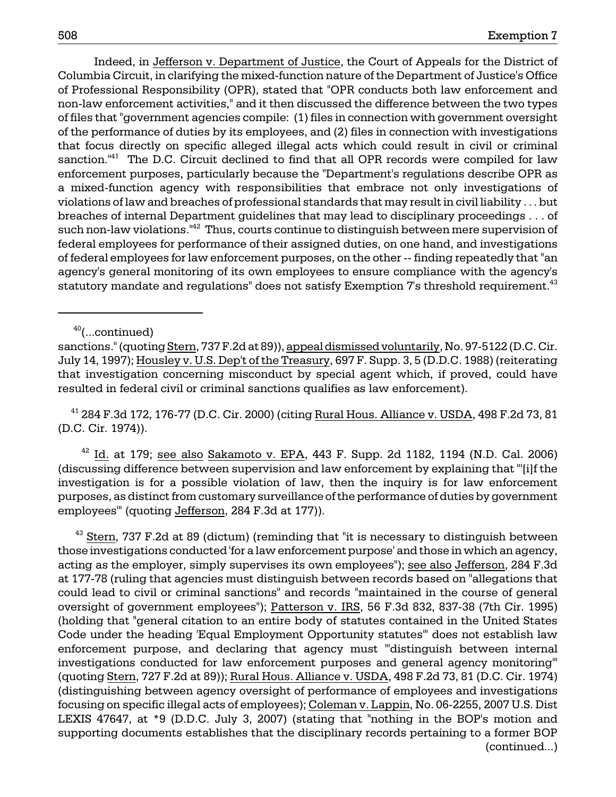Indeed, in Jefferson v. Department of Justice, the Court of Appeals for the District of Columbia Circuit, in clarifying the mixed-function nature of the Department of Justice's Office of Professional Responsibility (OPR), stated that "OPR conducts both law enforcement and non-law enforcement activities," and it then discussed the difference between the two types of files that "government agencies compile: (1) files in connection with government oversight of the performance of duties by its employees, and (2) files in connection with investigations that focus directly on specific alleged illegal acts which could result in civil or criminal sanction. $141$  The D.C. Circuit declined to find that all OPR records were compiled for law enforcement purposes, particularly because the "Department's regulations describe OPR as a mixed-function agency with responsibilities that embrace not only investigations of violations of law and breaches of professional standards that may result in civil liability . . . but breaches of internal Department guidelines that may lead to disciplinary proceedings . . . of such non-law violations."<sup>42</sup> Thus, courts continue to distinguish between mere supervision of federal employees for performance of their assigned duties, on one hand, and investigations of federal employees for law enforcement purposes, on the other -- finding repeatedly that "an agency's general monitoring of its own employees to ensure compliance with the agency's statutory mandate and regulations" does not satisfy Exemption 7's threshold requirement.<sup>43</sup>

 $40$ (...continued)

 41 284 F.3d 172, 176-77 (D.C. Cir. 2000) (citing Rural Hous. Alliance v. USDA, 498 F.2d 73, 81 (D.C. Cir. 1974)).

 $42$  Id. at 179; see also Sakamoto v. EPA, 443 F. Supp. 2d 1182, 1194 (N.D. Cal. 2006) (discussing difference between supervision and law enforcement by explaining that "'[i]f the investigation is for a possible violation of law, then the inquiry is for law enforcement purposes, as distinct from customary surveillance of the performance of duties by government employees'" (quoting Jefferson, 284 F.3d at 177)).

 $43$  Stern, 737 F.2d at 89 (dictum) (reminding that "it is necessary to distinguish between those investigations conducted 'for a law enforcement purpose' and those in which an agency, acting as the employer, simply supervises its own employees"); see also Jefferson, 284 F.3d at 177-78 (ruling that agencies must distinguish between records based on "allegations that could lead to civil or criminal sanctions" and records "maintained in the course of general oversight of government employees"); Patterson v. IRS, 56 F.3d 832, 837-38 (7th Cir. 1995) (holding that "general citation to an entire body of statutes contained in the United States Code under the heading 'Equal Employment Opportunity statutes'" does not establish law enforcement purpose, and declaring that agency must "'distinguish between internal investigations conducted for law enforcement purposes and general agency monitoring'" (quoting Stern, 727 F.2d at 89)); Rural Hous. Alliance v. USDA, 498 F.2d 73, 81 (D.C. Cir. 1974) (distinguishing between agency oversight of performance of employees and investigations focusing on specific illegal acts of employees); Coleman v. Lappin, No. 06-2255, 2007 U.S. Dist LEXIS 47647, at \*9 (D.D.C. July 3, 2007) (stating that "nothing in the BOP's motion and supporting documents establishes that the disciplinary records pertaining to a former BOP (continued...)

sanctions." (quoting Stern, 737 F.2d at 89)), appeal dismissed voluntarily, No. 97-5122 (D.C. Cir. July 14, 1997); Housley v. U.S. Dep't of the Treasury, 697 F. Supp. 3, 5 (D.D.C. 1988) (reiterating that investigation concerning misconduct by special agent which, if proved, could have resulted in federal civil or criminal sanctions qualifies as law enforcement).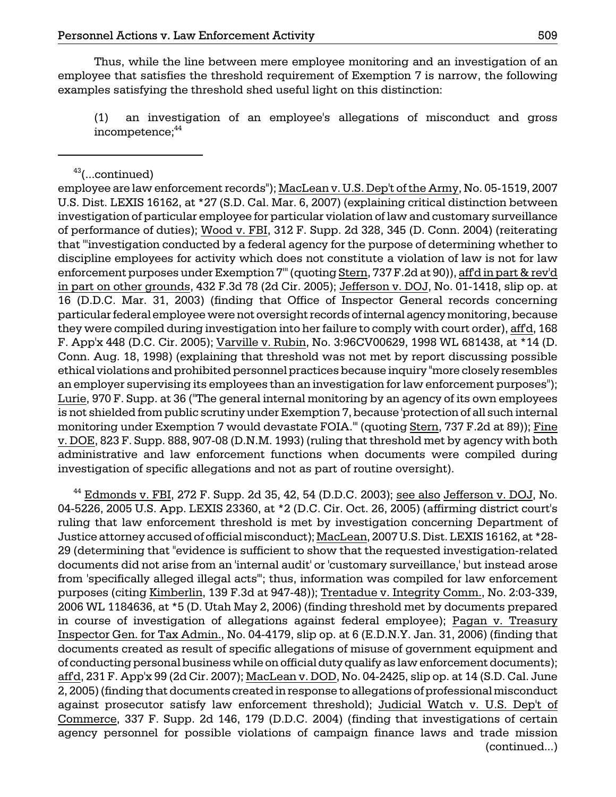Thus, while the line between mere employee monitoring and an investigation of an employee that satisfies the threshold requirement of Exemption 7 is narrow, the following examples satisfying the threshold shed useful light on this distinction:

(1) an investigation of an employee's allegations of misconduct and gross incompetence;<sup>44</sup>

employee are law enforcement records"); MacLean v. U.S. Dep't of the Army, No. 05-1519, 2007 U.S. Dist. LEXIS 16162, at \*27 (S.D. Cal. Mar. 6, 2007) (explaining critical distinction between investigation of particular employee for particular violation of law and customary surveillance of performance of duties); Wood v. FBI, 312 F. Supp. 2d 328, 345 (D. Conn. 2004) (reiterating that "'investigation conducted by a federal agency for the purpose of determining whether to discipline employees for activity which does not constitute a violation of law is not for law enforcement purposes under Exemption 7'" (quoting Stern, 737 F.2d at 90)), aff'd in part & rev'd in part on other grounds, 432 F.3d 78 (2d Cir. 2005); Jefferson v. DOJ, No. 01-1418, slip op. at 16 (D.D.C. Mar. 31, 2003) (finding that Office of Inspector General records concerning particular federal employee were not oversight records of internal agency monitoring, because they were compiled during investigation into her failure to comply with court order), aff'd, 168 F. App'x 448 (D.C. Cir. 2005); Varville v. Rubin, No. 3:96CV00629, 1998 WL 681438, at \*14 (D. Conn. Aug. 18, 1998) (explaining that threshold was not met by report discussing possible ethical violations and prohibited personnel practices because inquiry "more closely resembles an employer supervising its employees than an investigation for law enforcement purposes"); Lurie, 970 F. Supp. at 36 ("The general internal monitoring by an agency of its own employees is not shielded from public scrutiny under Exemption 7, because 'protection of all such internal monitoring under Exemption 7 would devastate FOIA.'" (quoting Stern, 737 F.2d at 89)); Fine v. DOE, 823 F. Supp. 888, 907-08 (D.N.M. 1993) (ruling that threshold met by agency with both administrative and law enforcement functions when documents were compiled during investigation of specific allegations and not as part of routine oversight).

 $44$  Edmonds v. FBI, 272 F. Supp. 2d 35, 42, 54 (D.D.C. 2003); see also Jefferson v. DOJ, No. 04-5226, 2005 U.S. App. LEXIS 23360, at \*2 (D.C. Cir. Oct. 26, 2005) (affirming district court's ruling that law enforcement threshold is met by investigation concerning Department of Justice attorney accused of official misconduct); MacLean, 2007 U.S. Dist. LEXIS 16162, at \*28 29 (determining that "evidence is sufficient to show that the requested investigation-related documents did not arise from an 'internal audit' or 'customary surveillance,' but instead arose from 'specifically alleged illegal acts'"; thus, information was compiled for law enforcement purposes (citing Kimberlin, 139 F.3d at 947-48)); Trentadue v. Integrity Comm., No. 2:03-339, 2006 WL 1184636, at \*5 (D. Utah May 2, 2006) (finding threshold met by documents prepared in course of investigation of allegations against federal employee); Pagan v. Treasury Inspector Gen. for Tax Admin., No. 04-4179, slip op. at 6 (E.D.N.Y. Jan. 31, 2006) (finding that documents created as result of specific allegations of misuse of government equipment and of conducting personal business while on official duty qualify as law enforcement documents); aff'd, 231 F. App'x 99 (2d Cir. 2007); MacLean v. DOD, No. 04-2425, slip op. at 14 (S.D. Cal. June 2, 2005) (finding that documents created in response to allegations of professional misconduct against prosecutor satisfy law enforcement threshold); Judicial Watch v. U.S. Dep't of Commerce, 337 F. Supp. 2d 146, 179 (D.D.C. 2004) (finding that investigations of certain agency personnel for possible violations of campaign finance laws and trade mission (continued...)

 $43$ (...continued)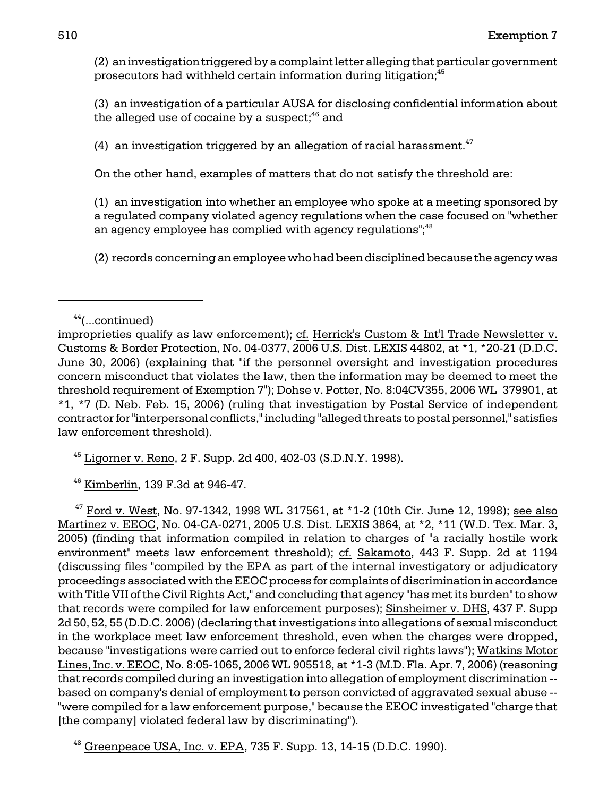(2) an investigation triggered by a complaint letter alleging that particular government prosecutors had withheld certain information during litigation;<sup>45</sup>

(3) an investigation of a particular AUSA for disclosing confidential information about the alleged use of cocaine by a suspect; $46$  and

(4) an investigation triggered by an allegation of racial harassment.<sup>47</sup>

On the other hand, examples of matters that do not satisfy the threshold are:

(1) an investigation into whether an employee who spoke at a meeting sponsored by a regulated company violated agency regulations when the case focused on "whether an agency employee has complied with agency regulations"; $48$ 

(2) records concerning an employee who had been disciplined because the agency was

 $45$  Ligorner v. Reno, 2 F. Supp. 2d 400, 402-03 (S.D.N.Y. 1998).

46 Kimberlin, 139 F.3d at 946-47.

 $47$  Ford v. West, No. 97-1342, 1998 WL 317561, at  $*1-2$  (10th Cir. June 12, 1998); see also Martinez v. EEOC, No. 04-CA-0271, 2005 U.S. Dist. LEXIS 3864, at \*2, \*11 (W.D. Tex. Mar. 3, 2005) (finding that information compiled in relation to charges of "a racially hostile work environment" meets law enforcement threshold); cf. Sakamoto, 443 F. Supp. 2d at 1194 (discussing files "compiled by the EPA as part of the internal investigatory or adjudicatory proceedings associated with the EEOC process for complaints of discrimination in accordance with Title VII of the Civil Rights Act," and concluding that agency "has met its burden" to show that records were compiled for law enforcement purposes); Sinsheimer v. DHS, 437 F. Supp 2d 50, 52, 55 (D.D.C. 2006) (declaring that investigations into allegations of sexual misconduct in the workplace meet law enforcement threshold, even when the charges were dropped, because "investigations were carried out to enforce federal civil rights laws"); Watkins Motor Lines, Inc. v. EEOC, No. 8:05-1065, 2006 WL 905518, at \*1-3 (M.D. Fla. Apr. 7, 2006) (reasoning that records compiled during an investigation into allegation of employment discrimination based on company's denial of employment to person convicted of aggravated sexual abuse - "were compiled for a law enforcement purpose," because the EEOC investigated "charge that [the company] violated federal law by discriminating").

 $48$  Greenpeace USA, Inc. v. EPA, 735 F. Supp. 13, 14-15 (D.D.C. 1990).

 $44$ (...continued)

improprieties qualify as law enforcement); cf. Herrick's Custom & Int'l Trade Newsletter v. Customs & Border Protection, No. 04-0377, 2006 U.S. Dist. LEXIS 44802, at \*1, \*20-21 (D.D.C. June 30, 2006) (explaining that "if the personnel oversight and investigation procedures concern misconduct that violates the law, then the information may be deemed to meet the threshold requirement of Exemption 7"); Dohse v. Potter, No. 8:04CV355, 2006 WL 379901, at \*1, \*7 (D. Neb. Feb. 15, 2006) (ruling that investigation by Postal Service of independent contractor for "interpersonal conflicts," including "alleged threats to postal personnel," satisfies law enforcement threshold).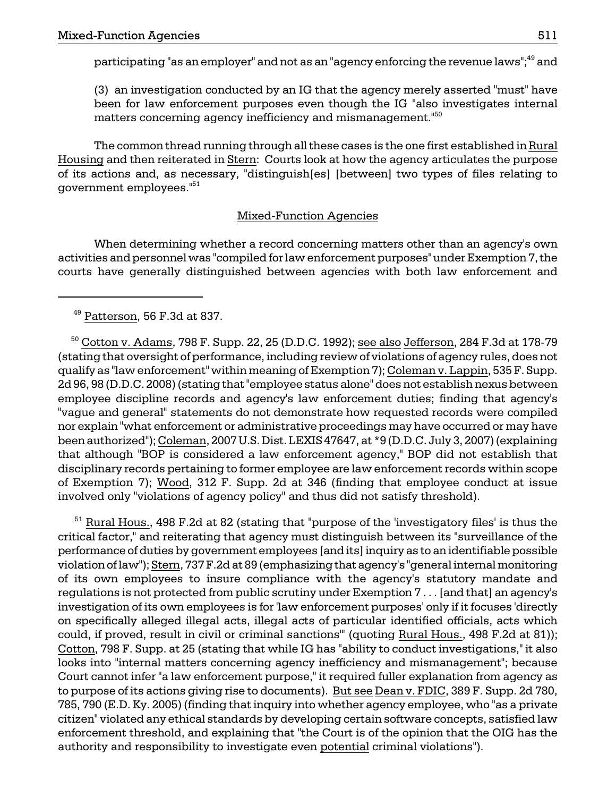participating "as an employer" and not as an "agency enforcing the revenue laws";<sup>49</sup> and

(3) an investigation conducted by an IG that the agency merely asserted "must" have been for law enforcement purposes even though the IG "also investigates internal matters concerning agency inefficiency and mismanagement."<sup>50</sup>

The common thread running through all these cases is the one first established in Rural Housing and then reiterated in Stern: Courts look at how the agency articulates the purpose of its actions and, as necessary, "distinguish[es] [between] two types of files relating to government employees."51

# Mixed-Function Agencies

When determining whether a record concerning matters other than an agency's own activities and personnel was "compiled for law enforcement purposes" under Exemption 7, the courts have generally distinguished between agencies with both law enforcement and

 $50$  Cotton v. Adams, 798 F. Supp. 22, 25 (D.D.C. 1992); see also Jefferson, 284 F.3d at 178-79 (stating that oversight of performance, including review of violations of agency rules, does not qualify as "law enforcement" within meaning of Exemption 7); Coleman v. Lappin, 535 F. Supp. 2d 96, 98 (D.D.C. 2008) (stating that "employee status alone" does not establish nexus between employee discipline records and agency's law enforcement duties; finding that agency's "vague and general" statements do not demonstrate how requested records were compiled nor explain "what enforcement or administrative proceedings may have occurred or may have been authorized"); Coleman, 2007 U.S. Dist. LEXIS 47647, at \*9 (D.D.C. July 3, 2007) (explaining that although "BOP is considered a law enforcement agency," BOP did not establish that disciplinary records pertaining to former employee are law enforcement records within scope of Exemption 7); Wood, 312 F. Supp. 2d at 346 (finding that employee conduct at issue involved only "violations of agency policy" and thus did not satisfy threshold).

 $51$  Rural Hous., 498 F.2d at 82 (stating that "purpose of the 'investigatory files' is thus the critical factor," and reiterating that agency must distinguish between its "surveillance of the performance of duties by government employees [and its] inquiry as to an identifiable possible violation of law"); Stern, 737 F.2d at 89 (emphasizing that agency's "general internal monitoring of its own employees to insure compliance with the agency's statutory mandate and regulations is not protected from public scrutiny under Exemption 7 . . . [and that] an agency's investigation of its own employees is for 'law enforcement purposes' only if it focuses 'directly on specifically alleged illegal acts, illegal acts of particular identified officials, acts which could, if proved, result in civil or criminal sanctions'" (quoting Rural Hous., 498 F.2d at 81)); Cotton, 798 F. Supp. at 25 (stating that while IG has "ability to conduct investigations," it also looks into "internal matters concerning agency inefficiency and mismanagement"; because Court cannot infer "a law enforcement purpose," it required fuller explanation from agency as to purpose of its actions giving rise to documents). But see Dean v. FDIC, 389 F. Supp. 2d 780, 785, 790 (E.D. Ky. 2005) (finding that inquiry into whether agency employee, who "as a private citizen" violated any ethical standards by developing certain software concepts, satisfied law enforcement threshold, and explaining that "the Court is of the opinion that the OIG has the authority and responsibility to investigate even potential criminal violations").

49 Patterson, 56 F.3d at 837.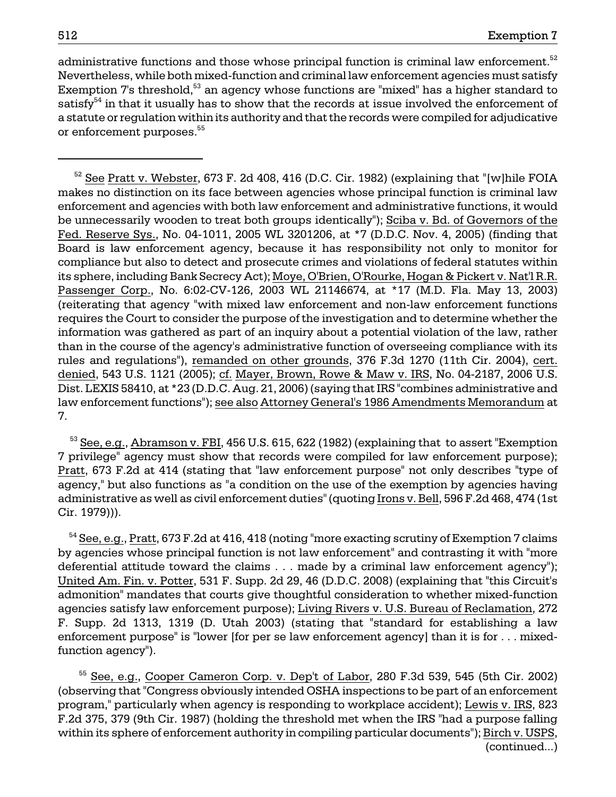administrative functions and those whose principal function is criminal law enforcement.<sup>52</sup> Nevertheless, while both mixed-function and criminal law enforcement agencies must satisfy Exemption 7's threshold,<sup>53</sup> an agency whose functions are "mixed" has a higher standard to satisfy $54$  in that it usually has to show that the records at issue involved the enforcement of a statute or regulation within its authority and that the records were compiled for adjudicative or enforcement purposes.<sup>55</sup>

 $52$  See Pratt v. Webster, 673 F. 2d 408, 416 (D.C. Cir. 1982) (explaining that "[w]hile FOIA makes no distinction on its face between agencies whose principal function is criminal law enforcement and agencies with both law enforcement and administrative functions, it would be unnecessarily wooden to treat both groups identically"); Sciba v. Bd. of Governors of the Fed. Reserve Sys., No. 04-1011, 2005 WL 3201206, at \*7 (D.D.C. Nov. 4, 2005) (finding that Board is law enforcement agency, because it has responsibility not only to monitor for compliance but also to detect and prosecute crimes and violations of federal statutes within its sphere, including Bank Secrecy Act); Moye, O'Brien, O'Rourke, Hogan & Pickert v. Nat'l R.R. Passenger Corp., No. 6:02-CV-126, 2003 WL 21146674, at \*17 (M.D. Fla. May 13, 2003) (reiterating that agency "with mixed law enforcement and non-law enforcement functions requires the Court to consider the purpose of the investigation and to determine whether the information was gathered as part of an inquiry about a potential violation of the law, rather than in the course of the agency's administrative function of overseeing compliance with its rules and regulations"), remanded on other grounds, 376 F.3d 1270 (11th Cir. 2004), cert. denied, 543 U.S. 1121 (2005); cf. Mayer, Brown, Rowe & Maw v. IRS, No. 04-2187, 2006 U.S. Dist. LEXIS 58410, at \*23 (D.D.C. Aug. 21, 2006) (saying that IRS "combines administrative and law enforcement functions"); see also Attorney General's 1986 Amendments Memorandum at 7.

<sup>53</sup> See, e.g., Abramson v. FBI, 456 U.S. 615, 622 (1982) (explaining that to assert "Exemption 7 privilege" agency must show that records were compiled for law enforcement purpose); Pratt, 673 F.2d at 414 (stating that "law enforcement purpose" not only describes "type of agency," but also functions as "a condition on the use of the exemption by agencies having administrative as well as civil enforcement duties" (quoting Irons v. Bell, 596 F.2d 468, 474 (1st Cir. 1979))).

 54 See, e.g., Pratt, 673 F.2d at 416, 418 (noting "more exacting scrutiny of Exemption 7 claims by agencies whose principal function is not law enforcement" and contrasting it with "more deferential attitude toward the claims . . . made by a criminal law enforcement agency"); United Am. Fin. v. Potter, 531 F. Supp. 2d 29, 46 (D.D.C. 2008) (explaining that "this Circuit's admonition" mandates that courts give thoughtful consideration to whether mixed-function agencies satisfy law enforcement purpose); Living Rivers v. U.S. Bureau of Reclamation, 272 F. Supp. 2d 1313, 1319 (D. Utah 2003) (stating that "standard for establishing a law enforcement purpose" is "lower [for per se law enforcement agency] than it is for . . . mixedfunction agency").

 55 See, e.g., Cooper Cameron Corp. v. Dep't of Labor, 280 F.3d 539, 545 (5th Cir. 2002) (observing that "Congress obviously intended OSHA inspections to be part of an enforcement program," particularly when agency is responding to workplace accident); Lewis v. IRS, 823 F.2d 375, 379 (9th Cir. 1987) (holding the threshold met when the IRS "had a purpose falling within its sphere of enforcement authority in compiling particular documents"); Birch v. USPS, (continued...)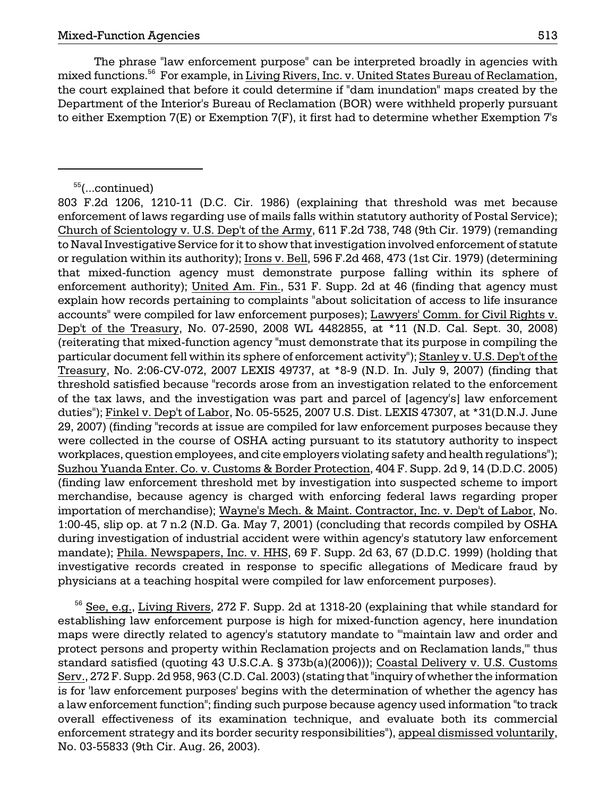the court explained that before it could determine if "dam inundation" maps created by the The phrase "law enforcement purpose" can be interpreted broadly in agencies with mixed functions.<sup>56</sup> For example, in Living Rivers, Inc. v. United States Bureau of Reclamation, Department of the Interior's Bureau of Reclamation (BOR) were withheld properly pursuant to either Exemption 7(E) or Exemption 7(F), it first had to determine whether Exemption 7's

<sup>56</sup> See, e.g., Living Rivers, 272 F. Supp. 2d at 1318-20 (explaining that while standard for establishing law enforcement purpose is high for mixed-function agency, here inundation maps were directly related to agency's statutory mandate to "'maintain law and order and protect persons and property within Reclamation projects and on Reclamation lands,'" thus standard satisfied (quoting 43 U.S.C.A. § 373b(a)(2006))); Coastal Delivery v. U.S. Customs Serv., 272 F. Supp. 2d 958, 963 (C.D. Cal. 2003) (stating that "inquiry of whether the information is for 'law enforcement purposes' begins with the determination of whether the agency has a law enforcement function"; finding such purpose because agency used information "to track overall effectiveness of its examination technique, and evaluate both its commercial enforcement strategy and its border security responsibilities"), appeal dismissed voluntarily, No. 03-55833 (9th Cir. Aug. 26, 2003).

<sup>55(...</sup>continued)

 (reiterating that mixed-function agency "must demonstrate that its purpose in compiling the 803 F.2d 1206, 1210-11 (D.C. Cir. 1986) (explaining that threshold was met because enforcement of laws regarding use of mails falls within statutory authority of Postal Service); Church of Scientology v. U.S. Dep't of the Army, 611 F.2d 738, 748 (9th Cir. 1979) (remanding to Naval Investigative Service for it to show that investigation involved enforcement of statute or regulation within its authority); Irons v. Bell, 596 F.2d 468, 473 (1st Cir. 1979) (determining that mixed-function agency must demonstrate purpose falling within its sphere of enforcement authority); United Am. Fin., 531 F. Supp. 2d at 46 (finding that agency must explain how records pertaining to complaints "about solicitation of access to life insurance accounts" were compiled for law enforcement purposes); Lawyers' Comm. for Civil Rights v. Dep't of the Treasury, No. 07-2590, 2008 WL 4482855, at \*11 (N.D. Cal. Sept. 30, 2008) particular document fell within its sphere of enforcement activity"); Stanley v. U.S. Dep't of the Treasury, No. 2:06-CV-072, 2007 LEXIS 49737, at \*8-9 (N.D. In. July 9, 2007) (finding that threshold satisfied because "records arose from an investigation related to the enforcement of the tax laws, and the investigation was part and parcel of [agency's] law enforcement duties"); Finkel v. Dep't of Labor, No. 05-5525, 2007 U.S. Dist. LEXIS 47307, at \*31(D.N.J. June 29, 2007) (finding "records at issue are compiled for law enforcement purposes because they were collected in the course of OSHA acting pursuant to its statutory authority to inspect workplaces, question employees, and cite employers violating safety and health regulations"); Suzhou Yuanda Enter. Co. v. Customs & Border Protection, 404 F. Supp. 2d 9, 14 (D.D.C. 2005) (finding law enforcement threshold met by investigation into suspected scheme to import merchandise, because agency is charged with enforcing federal laws regarding proper importation of merchandise); Wayne's Mech. & Maint. Contractor, Inc. v. Dep't of Labor, No. 1:00-45, slip op. at 7 n.2 (N.D. Ga. May 7, 2001) (concluding that records compiled by OSHA during investigation of industrial accident were within agency's statutory law enforcement mandate); Phila. Newspapers, Inc. v. HHS, 69 F. Supp. 2d 63, 67 (D.D.C. 1999) (holding that investigative records created in response to specific allegations of Medicare fraud by physicians at a teaching hospital were compiled for law enforcement purposes).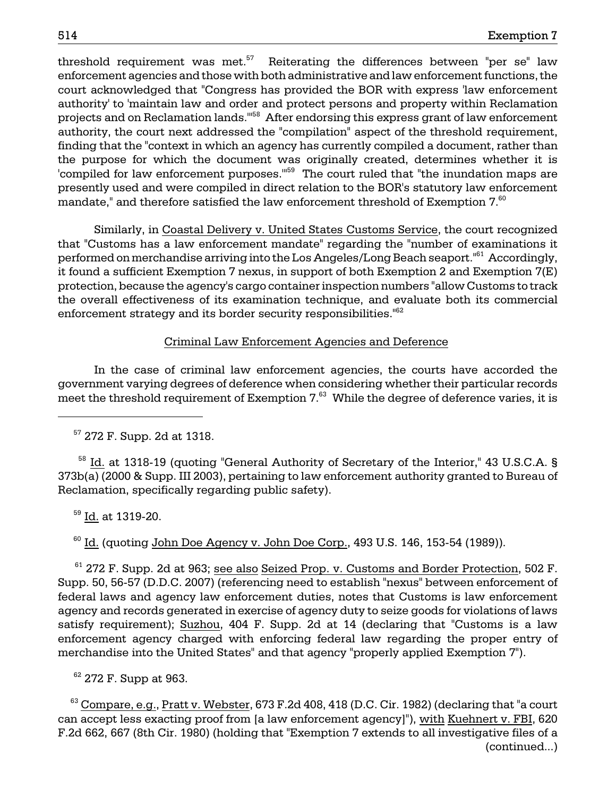threshold requirement was met. $57$  Reiterating the differences between "per se" law enforcement agencies and those with both administrative and law enforcement functions, the court acknowledged that "Congress has provided the BOR with express 'law enforcement authority' to 'maintain law and order and protect persons and property within Reclamation projects and on Reclamation lands.<sup>"58</sup> After endorsing this express grant of law enforcement authority, the court next addressed the "compilation" aspect of the threshold requirement, finding that the "context in which an agency has currently compiled a document, rather than the purpose for which the document was originally created, determines whether it is 'compiled for law enforcement purposes."<sup>59</sup> The court ruled that "the inundation maps are presently used and were compiled in direct relation to the BOR's statutory law enforcement mandate," and therefore satisfied the law enforcement threshold of Exemption  $7.60$ 

 it found a sufficient Exemption 7 nexus, in support of both Exemption 2 and Exemption 7(E) Similarly, in Coastal Delivery v. United States Customs Service, the court recognized that "Customs has a law enforcement mandate" regarding the "number of examinations it performed on merchandise arriving into the Los Angeles/Long Beach seaport."61 Accordingly, protection, because the agency's cargo container inspection numbers "allow Customs to track the overall effectiveness of its examination technique, and evaluate both its commercial enforcement strategy and its border security responsibilities."<sup>62</sup>

### Criminal Law Enforcement Agencies and Deference

In the case of criminal law enforcement agencies, the courts have accorded the government varying degrees of deference when considering whether their particular records meet the threshold requirement of Exemption  $7<sup>63</sup>$  While the degree of deference varies, it is

57 272 F. Supp. 2d at 1318.

<sup>58</sup> Id. at 1318-19 (quoting "General Authority of Secretary of the Interior," 43 U.S.C.A. § 373b(a) (2000 & Supp. III 2003), pertaining to law enforcement authority granted to Bureau of Reclamation, specifically regarding public safety).

59 Id. at 1319-20.

 $60$  Id. (quoting John Doe Agency v. John Doe Corp., 493 U.S. 146, 153-54 (1989)).

 $61$  272 F. Supp. 2d at 963; see also Seized Prop. v. Customs and Border Protection, 502 F. Supp. 50, 56-57 (D.D.C. 2007) (referencing need to establish "nexus" between enforcement of federal laws and agency law enforcement duties, notes that Customs is law enforcement agency and records generated in exercise of agency duty to seize goods for violations of laws satisfy requirement); Suzhou, 404 F. Supp. 2d at 14 (declaring that "Customs is a law enforcement agency charged with enforcing federal law regarding the proper entry of merchandise into the United States" and that agency "properly applied Exemption 7").

 $62$  272 F. Supp at 963.

 $63$  Compare, e.g., Pratt v. Webster, 673 F.2d 408, 418 (D.C. Cir. 1982) (declaring that "a court can accept less exacting proof from [a law enforcement agency]"), with Kuehnert v. FBI, 620 F.2d 662, 667 (8th Cir. 1980) (holding that "Exemption 7 extends to all investigative files of a (continued...)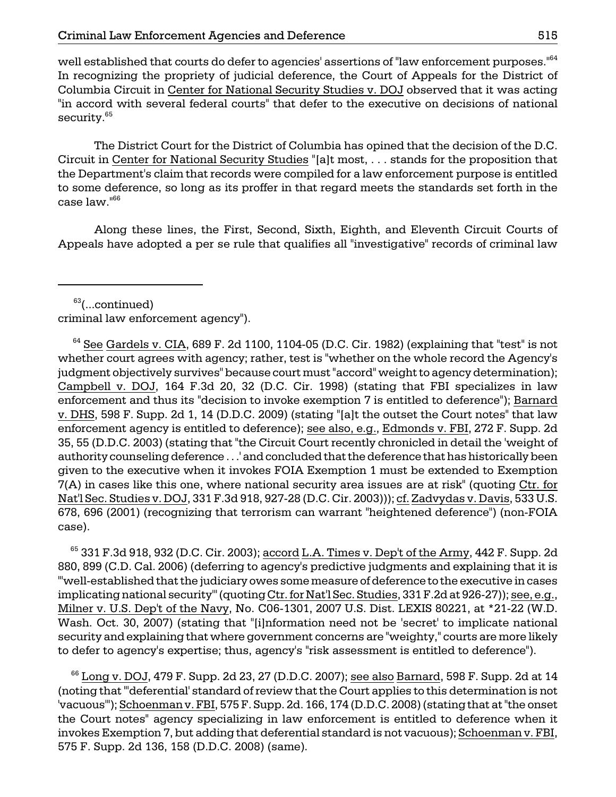well established that courts do defer to agencies' assertions of "law enforcement purposes."64 In recognizing the propriety of judicial deference, the Court of Appeals for the District of Columbia Circuit in Center for National Security Studies v. DOJ observed that it was acting "in accord with several federal courts" that defer to the executive on decisions of national security.<sup>65</sup>

The District Court for the District of Columbia has opined that the decision of the D.C. Circuit in Center for National Security Studies "[a]t most, . . . stands for the proposition that the Department's claim that records were compiled for a law enforcement purpose is entitled to some deference, so long as its proffer in that regard meets the standards set forth in the case law."<sup>66</sup>

Along these lines, the First, Second, Sixth, Eighth, and Eleventh Circuit Courts of Appeals have adopted a per se rule that qualifies all "investigative" records of criminal law

 $63$ (...continued)

criminal law enforcement agency").

 $64$  See Gardels v. CIA, 689 F. 2d 1100, 1104-05 (D.C. Cir. 1982) (explaining that "test" is not whether court agrees with agency; rather, test is "whether on the whole record the Agency's judgment objectively survives" because court must "accord" weight to agency determination); Campbell v. DOJ, 164 F.3d 20, 32 (D.C. Cir. 1998) (stating that FBI specializes in law enforcement and thus its "decision to invoke exemption 7 is entitled to deference"); Barnard v. DHS, 598 F. Supp. 2d 1, 14 (D.D.C. 2009) (stating "[a]t the outset the Court notes" that law enforcement agency is entitled to deference); see also, e.g., Edmonds v. FBI, 272 F. Supp. 2d 35, 55 (D.D.C. 2003) (stating that "the Circuit Court recently chronicled in detail the 'weight of authority counseling deference . . .' and concluded that the deference that has historically been given to the executive when it invokes FOIA Exemption 1 must be extended to Exemption 7(A) in cases like this one, where national security area issues are at risk" (quoting Ctr. for Nat'l Sec. Studies v. DOJ, 331 F.3d 918, 927-28 (D.C. Cir. 2003))); cf. Zadvydas v. Davis, 533 U.S. 678, 696 (2001) (recognizing that terrorism can warrant "heightened deference") (non-FOIA case).

 $65$  331 F.3d 918, 932 (D.C. Cir. 2003); accord L.A. Times v. Dep't of the Army, 442 F. Supp. 2d 880, 899 (C.D. Cal. 2006) (deferring to agency's predictive judgments and explaining that it is "'well-established that the judiciary owes some measure of deference to the executive in cases implicating national security'" (quoting Ctr. for Nat'l Sec. Studies, 331 F.2d at 926-27)); see, e.g., Milner v. U.S. Dep't of the Navy, No. C06-1301, 2007 U.S. Dist. LEXIS 80221, at \*21-22 (W.D. Wash. Oct. 30, 2007) (stating that "[i]nformation need not be 'secret' to implicate national security and explaining that where government concerns are "weighty," courts are more likely to defer to agency's expertise; thus, agency's "risk assessment is entitled to deference").

 $66$  Long v. DOJ, 479 F. Supp. 2d 23, 27 (D.D.C. 2007); see also Barnard, 598 F. Supp. 2d at 14 (noting that "'deferential' standard of review that the Court applies to this determination is not 'vacuous'"); Schoenman v. FBI, 575 F. Supp. 2d. 166, 174 (D.D.C. 2008) (stating that at "the onset the Court notes" agency specializing in law enforcement is entitled to deference when it invokes Exemption 7, but adding that deferential standard is not vacuous); Schoenman v. FBI, 575 F. Supp. 2d 136, 158 (D.D.C. 2008) (same).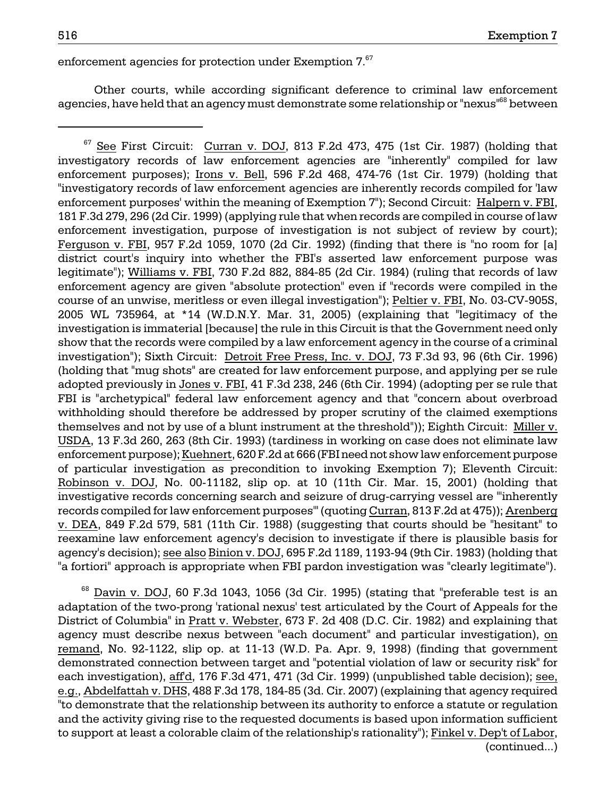enforcement agencies for protection under Exemption 7.<sup>67</sup>

Other courts, while according significant deference to criminal law enforcement agencies, have held that an agency must demonstrate some relationship or "nexus"<sup>68</sup> between

 $68$  Davin v. DOJ, 60 F.3d 1043, 1056 (3d Cir. 1995) (stating that "preferable test is an adaptation of the two-prong 'rational nexus' test articulated by the Court of Appeals for the District of Columbia" in Pratt v. Webster, 673 F. 2d 408 (D.C. Cir. 1982) and explaining that agency must describe nexus between "each document" and particular investigation), on remand, No. 92-1122, slip op. at 11-13 (W.D. Pa. Apr. 9, 1998) (finding that government demonstrated connection between target and "potential violation of law or security risk" for each investigation), aff'd, 176 F.3d 471, 471 (3d Cir. 1999) (unpublished table decision); see, e.g., Abdelfattah v. DHS, 488 F.3d 178, 184-85 (3d. Cir. 2007) (explaining that agency required "to demonstrate that the relationship between its authority to enforce a statute or regulation and the activity giving rise to the requested documents is based upon information sufficient to support at least a colorable claim of the relationship's rationality"); Finkel v. Dep't of Labor, (continued...)

<sup>&</sup>lt;sup>67</sup> See First Circuit: Curran v. DOJ, 813 F.2d 473, 475 (1st Cir. 1987) (holding that investigatory records of law enforcement agencies are "inherently" compiled for law enforcement purposes); Irons v. Bell, 596 F.2d 468, 474-76 (1st Cir. 1979) (holding that "investigatory records of law enforcement agencies are inherently records compiled for 'law enforcement purposes' within the meaning of Exemption 7"); Second Circuit: Halpern v. FBI, 181 F.3d 279, 296 (2d Cir. 1999) (applying rule that when records are compiled in course of law enforcement investigation, purpose of investigation is not subject of review by court); Ferguson v. FBI, 957 F.2d 1059, 1070 (2d Cir. 1992) (finding that there is "no room for [a] district court's inquiry into whether the FBI's asserted law enforcement purpose was legitimate"); Williams v. FBI, 730 F.2d 882, 884-85 (2d Cir. 1984) (ruling that records of law enforcement agency are given "absolute protection" even if "records were compiled in the course of an unwise, meritless or even illegal investigation"); Peltier v. FBI, No. 03-CV-905S, 2005 WL 735964, at \*14 (W.D.N.Y. Mar. 31, 2005) (explaining that "legitimacy of the investigation is immaterial [because] the rule in this Circuit is that the Government need only show that the records were compiled by a law enforcement agency in the course of a criminal investigation"); Sixth Circuit: Detroit Free Press, Inc. v. DOJ, 73 F.3d 93, 96 (6th Cir. 1996) (holding that "mug shots" are created for law enforcement purpose, and applying per se rule adopted previously in Jones v. FBI, 41 F.3d 238, 246 (6th Cir. 1994) (adopting per se rule that FBI is "archetypical" federal law enforcement agency and that "concern about overbroad withholding should therefore be addressed by proper scrutiny of the claimed exemptions themselves and not by use of a blunt instrument at the threshold")); Eighth Circuit: Miller v. USDA, 13 F.3d 260, 263 (8th Cir. 1993) (tardiness in working on case does not eliminate law enforcement purpose); Kuehnert, 620 F.2d at 666 (FBI need not show law enforcement purpose of particular investigation as precondition to invoking Exemption 7); Eleventh Circuit: Robinson v. DOJ, No. 00-11182, slip op. at 10 (11th Cir. Mar. 15, 2001) (holding that investigative records concerning search and seizure of drug-carrying vessel are "'inherently records compiled for law enforcement purposes'" (quoting Curran, 813 F.2d at 475)); Arenberg v. DEA, 849 F.2d 579, 581 (11th Cir. 1988) (suggesting that courts should be "hesitant" to reexamine law enforcement agency's decision to investigate if there is plausible basis for agency's decision); see also Binion v. DOJ, 695 F.2d 1189, 1193-94 (9th Cir. 1983) (holding that "a fortiori" approach is appropriate when FBI pardon investigation was "clearly legitimate").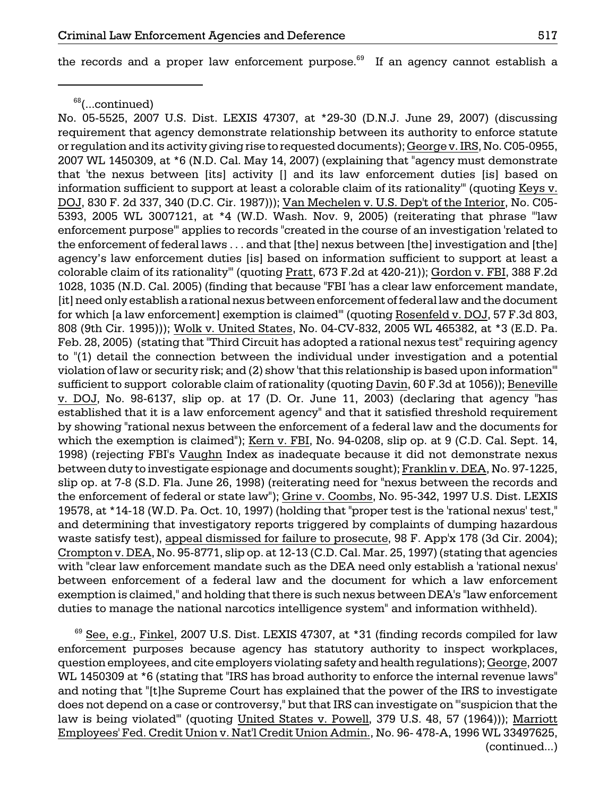the records and a proper law enforcement purpose.<sup>69</sup> If an agency cannot establish a

No. 05-5525, 2007 U.S. Dist. LEXIS 47307, at \*29-30 (D.N.J. June 29, 2007) (discussing requirement that agency demonstrate relationship between its authority to enforce statute or regulation and its activity giving rise to requested documents); George v. IRS, No. C05-0955, 2007 WL 1450309, at \*6 (N.D. Cal. May 14, 2007) (explaining that "agency must demonstrate that 'the nexus between [its] activity [] and its law enforcement duties [is] based on information sufficient to support at least a colorable claim of its rationality'" (quoting Keys v. DOJ, 830 F. 2d 337, 340 (D.C. Cir. 1987))); Van Mechelen v. U.S. Dep't of the Interior, No. C05 5393, 2005 WL 3007121, at \*4 (W.D. Wash. Nov. 9, 2005) (reiterating that phrase "'law enforcement purpose'" applies to records "created in the course of an investigation 'related to the enforcement of federal laws . . . and that [the] nexus between [the] investigation and [the] agency's law enforcement duties [is] based on information sufficient to support at least a colorable claim of its rationality'" (quoting Pratt, 673 F.2d at 420-21)); Gordon v. FBI, 388 F.2d 1028, 1035 (N.D. Cal. 2005) (finding that because "FBI 'has a clear law enforcement mandate, [it] need only establish a rational nexus between enforcement of federal law and the document for which [a law enforcement] exemption is claimed'" (quoting Rosenfeld v. DOJ, 57 F.3d 803, 808 (9th Cir. 1995))); Wolk v. United States, No. 04-CV-832, 2005 WL 465382, at \*3 (E.D. Pa. Feb. 28, 2005) (stating that "Third Circuit has adopted a rational nexus test" requiring agency to "(1) detail the connection between the individual under investigation and a potential violation of law or security risk; and (2) show 'that this relationship is based upon information'" sufficient to support colorable claim of rationality (quoting Davin, 60 F.3d at 1056)); Beneville v. DOJ, No. 98-6137, slip op. at 17 (D. Or. June 11, 2003) (declaring that agency "has established that it is a law enforcement agency" and that it satisfied threshold requirement by showing "rational nexus between the enforcement of a federal law and the documents for which the exemption is claimed"); Kern v. FBI, No. 94-0208, slip op. at 9 (C.D. Cal. Sept. 14, 1998) (rejecting FBI's Vaughn Index as inadequate because it did not demonstrate nexus between duty to investigate espionage and documents sought); Franklin v. DEA, No. 97-1225, slip op. at 7-8 (S.D. Fla. June 26, 1998) (reiterating need for "nexus between the records and the enforcement of federal or state law"); Grine v. Coombs, No. 95-342, 1997 U.S. Dist. LEXIS 19578, at \*14-18 (W.D. Pa. Oct. 10, 1997) (holding that "proper test is the 'rational nexus' test," and determining that investigatory reports triggered by complaints of dumping hazardous waste satisfy test), appeal dismissed for failure to prosecute, 98 F. App'x 178 (3d Cir. 2004); Crompton v. DEA, No. 95-8771, slip op. at 12-13 (C.D. Cal. Mar. 25, 1997) (stating that agencies with "clear law enforcement mandate such as the DEA need only establish a 'rational nexus' between enforcement of a federal law and the document for which a law enforcement exemption is claimed," and holding that there is such nexus between DEA's "law enforcement duties to manage the national narcotics intelligence system" and information withheld).

 $69$  See, e.g., Finkel, 2007 U.S. Dist. LEXIS 47307, at \*31 (finding records compiled for law enforcement purposes because agency has statutory authority to inspect workplaces, question employees, and cite employers violating safety and health regulations); George, 2007 WL 1450309 at \*6 (stating that "IRS has broad authority to enforce the internal revenue laws" and noting that "[t]he Supreme Court has explained that the power of the IRS to investigate does not depend on a case or controversy," but that IRS can investigate on "'suspicion that the law is being violated" (quoting United States v. Powell, 379 U.S. 48, 57 (1964))); Marriott Employees' Fed. Credit Union v. Nat'l Credit Union Admin., No. 96- 478-A, 1996 WL 33497625, (continued...)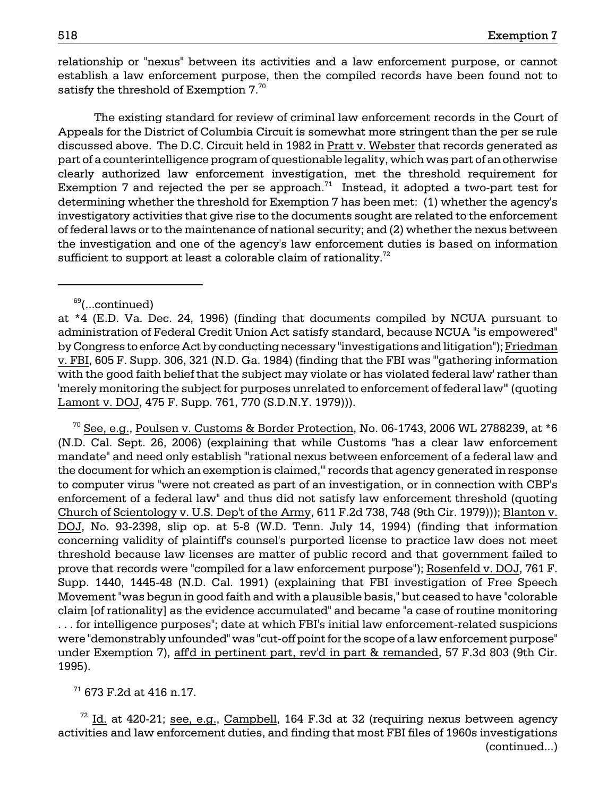relationship or "nexus" between its activities and a law enforcement purpose, or cannot establish a law enforcement purpose, then the compiled records have been found not to satisfy the threshold of Exemption  $7.^{70}$ 

The existing standard for review of criminal law enforcement records in the Court of Appeals for the District of Columbia Circuit is somewhat more stringent than the per se rule discussed above. The D.C. Circuit held in 1982 in Pratt v. Webster that records generated as part of a counterintelligence program of questionable legality, which was part of an otherwise clearly authorized law enforcement investigation, met the threshold requirement for Exemption 7 and rejected the per se approach.<sup>71</sup> Instead, it adopted a two-part test for determining whether the threshold for Exemption 7 has been met: (1) whether the agency's investigatory activities that give rise to the documents sought are related to the enforcement of federal laws or to the maintenance of national security; and (2) whether the nexus between the investigation and one of the agency's law enforcement duties is based on information sufficient to support at least a colorable claim of rationality.<sup>72</sup>

 $^{70}$  See, e.g., Poulsen v. Customs & Border Protection, No. 06-1743, 2006 WL 2788239, at \*6 (N.D. Cal. Sept. 26, 2006) (explaining that while Customs "has a clear law enforcement mandate" and need only establish "'rational nexus between enforcement of a federal law and the document for which an exemption is claimed,'" records that agency generated in response to computer virus "were not created as part of an investigation, or in connection with CBP's enforcement of a federal law" and thus did not satisfy law enforcement threshold (quoting Church of Scientology v. U.S. Dep't of the Army, 611 F.2d 738, 748 (9th Cir. 1979))); Blanton v. DOJ, No. 93-2398, slip op. at 5-8 (W.D. Tenn. July 14, 1994) (finding that information concerning validity of plaintiff's counsel's purported license to practice law does not meet threshold because law licenses are matter of public record and that government failed to prove that records were "compiled for a law enforcement purpose"); Rosenfeld v. DOJ, 761 F. Supp. 1440, 1445-48 (N.D. Cal. 1991) (explaining that FBI investigation of Free Speech Movement "was begun in good faith and with a plausible basis," but ceased to have "colorable claim [of rationality] as the evidence accumulated" and became "a case of routine monitoring . . . for intelligence purposes"; date at which FBI's initial law enforcement-related suspicions were "demonstrably unfounded" was "cut-off point for the scope of a law enforcement purpose" under Exemption 7), aff'd in pertinent part, rev'd in part & remanded, 57 F.3d 803 (9th Cir. 1995).

 $71$  673 F.2d at 416 n.17.

 $\frac{72}{1}$  Id. at 420-21; see, e.g., Campbell, 164 F.3d at 32 (requiring nexus between agency activities and law enforcement duties, and finding that most FBI files of 1960s investigations (continued...)

 $69$ (...continued)

at \*4 (E.D. Va. Dec. 24, 1996) (finding that documents compiled by NCUA pursuant to administration of Federal Credit Union Act satisfy standard, because NCUA "is empowered" by Congress to enforce Act by conducting necessary "investigations and litigation"); Friedman v. FBI, 605 F. Supp. 306, 321 (N.D. Ga. 1984) (finding that the FBI was "'gathering information with the good faith belief that the subject may violate or has violated federal law' rather than 'merely monitoring the subject for purposes unrelated to enforcement of federal law'" (quoting Lamont v. DOJ, 475 F. Supp. 761, 770 (S.D.N.Y. 1979))).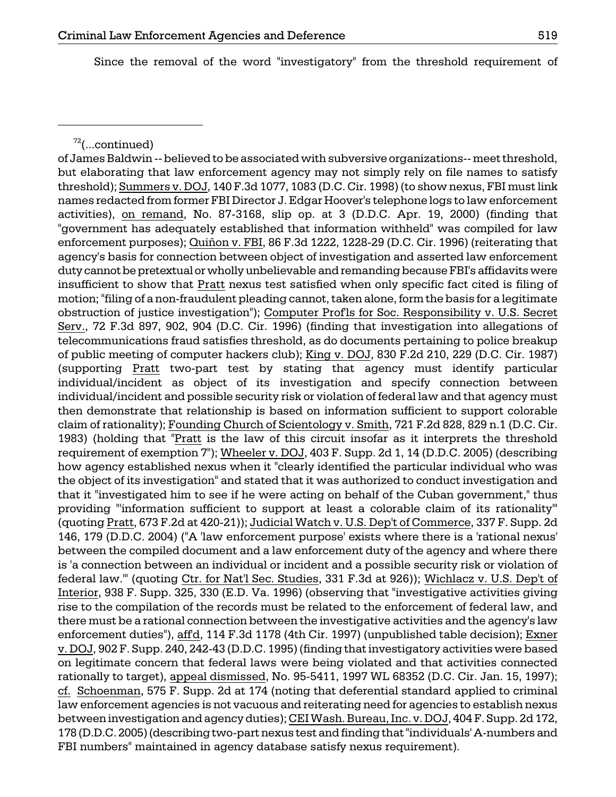Since the removal of the word "investigatory" from the threshold requirement of

of James Baldwin -- believed to be associated with subversive organizations-- meet threshold, but elaborating that law enforcement agency may not simply rely on file names to satisfy threshold); Summers v. DOJ, 140 F.3d 1077, 1083 (D.C. Cir. 1998) (to show nexus, FBI must link names redacted from former FBI Director J. Edgar Hoover's telephone logs to law enforcement activities), on remand, No. 87-3168, slip op. at 3 (D.D.C. Apr. 19, 2000) (finding that "government has adequately established that information withheld" was compiled for law enforcement purposes); Quiñon v. FBI, 86 F.3d 1222, 1228-29 (D.C. Cir. 1996) (reiterating that agency's basis for connection between object of investigation and asserted law enforcement duty cannot be pretextual or wholly unbelievable and remanding because FBI's affidavits were insufficient to show that Pratt nexus test satisfied when only specific fact cited is filing of motion; "filing of a non-fraudulent pleading cannot, taken alone, form the basis for a legitimate obstruction of justice investigation"); Computer Prof'ls for Soc. Responsibility v. U.S. Secret Serv., 72 F.3d 897, 902, 904 (D.C. Cir. 1996) (finding that investigation into allegations of telecommunications fraud satisfies threshold, as do documents pertaining to police breakup of public meeting of computer hackers club); King v. DOJ, 830 F.2d 210, 229 (D.C. Cir. 1987) (supporting Pratt two-part test by stating that agency must identify particular individual/incident as object of its investigation and specify connection between individual/incident and possible security risk or violation of federal law and that agency must then demonstrate that relationship is based on information sufficient to support colorable claim of rationality); Founding Church of Scientology v. Smith, 721 F.2d 828, 829 n.1 (D.C. Cir. 1983) (holding that "Pratt is the law of this circuit insofar as it interprets the threshold requirement of exemption 7"); Wheeler v. DOJ, 403 F. Supp. 2d 1, 14 (D.D.C. 2005) (describing how agency established nexus when it "clearly identified the particular individual who was the object of its investigation" and stated that it was authorized to conduct investigation and that it "investigated him to see if he were acting on behalf of the Cuban government," thus providing "'information sufficient to support at least a colorable claim of its rationality'" (quoting Pratt, 673 F.2d at 420-21)); Judicial Watch v. U.S. Dep't of Commerce, 337 F. Supp. 2d 146, 179 (D.D.C. 2004) ("A 'law enforcement purpose' exists where there is a 'rational nexus' between the compiled document and a law enforcement duty of the agency and where there is 'a connection between an individual or incident and a possible security risk or violation of federal law.'" (quoting Ctr. for Nat'l Sec. Studies, 331 F.3d at 926)); Wichlacz v. U.S. Dep't of Interior, 938 F. Supp. 325, 330 (E.D. Va. 1996) (observing that "investigative activities giving rise to the compilation of the records must be related to the enforcement of federal law, and there must be a rational connection between the investigative activities and the agency's law enforcement duties"), aff'd, 114 F.3d 1178 (4th Cir. 1997) (unpublished table decision); Exner v. DOJ, 902 F. Supp. 240, 242-43 (D.D.C. 1995) (finding that investigatory activities were based on legitimate concern that federal laws were being violated and that activities connected rationally to target), appeal dismissed, No. 95-5411, 1997 WL 68352 (D.C. Cir. Jan. 15, 1997); cf. Schoenman, 575 F. Supp. 2d at 174 (noting that deferential standard applied to criminal law enforcement agencies is not vacuous and reiterating need for agencies to establish nexus between investigation and agency duties); CEI Wash. Bureau, Inc. v. DOJ, 404 F. Supp. 2d 172, 178 (D.D.C. 2005) (describing two-part nexus test and finding that "individuals' A-numbers and FBI numbers" maintained in agency database satisfy nexus requirement).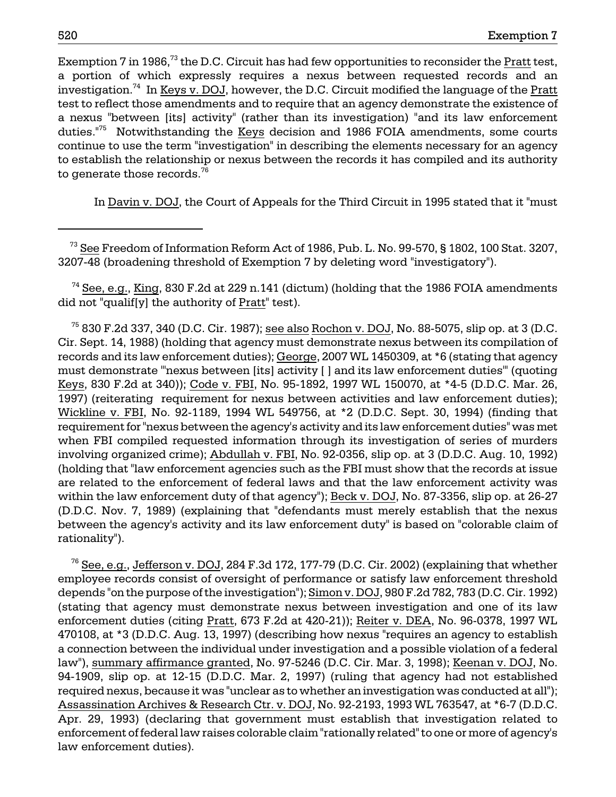Exemption 7 in 1986, $^{73}$  the D.C. Circuit has had few opportunities to reconsider the Pratt test, a portion of which expressly requires a nexus between requested records and an investigation.<sup>74</sup> In Keys v. DOJ, however, the D.C. Circuit modified the language of the Pratt test to reflect those amendments and to require that an agency demonstrate the existence of a nexus "between [its] activity" (rather than its investigation) "and its law enforcement duties.<sup>"75</sup> Notwithstanding the Keys decision and 1986 FOIA amendments, some courts continue to use the term "investigation" in describing the elements necessary for an agency to establish the relationship or nexus between the records it has compiled and its authority to generate those records. $76$ 

In Davin v. DOJ, the Court of Appeals for the Third Circuit in 1995 stated that it "must

 73 See Freedom of Information Reform Act of 1986, Pub. L. No. 99-570, § 1802, 100 Stat. 3207, 3207-48 (broadening threshold of Exemption 7 by deleting word "investigatory").

 $74$  See, e.g., King, 830 F.2d at 229 n.141 (dictum) (holding that the 1986 FOIA amendments did not "qualif[y] the authority of Pratt" test).

 $^{75}$  830 F.2d 337, 340 (D.C. Cir. 1987); see also Rochon v. DOJ, No. 88-5075, slip op. at 3 (D.C. Cir. Sept. 14, 1988) (holding that agency must demonstrate nexus between its compilation of records and its law enforcement duties); George, 2007 WL 1450309, at \*6 (stating that agency must demonstrate "'nexus between [its] activity [ ] and its law enforcement duties'" (quoting Keys, 830 F.2d at 340)); Code v. FBI, No. 95-1892, 1997 WL 150070, at \*4-5 (D.D.C. Mar. 26, 1997) (reiterating requirement for nexus between activities and law enforcement duties); Wickline v. FBI, No. 92-1189, 1994 WL 549756, at \*2 (D.D.C. Sept. 30, 1994) (finding that requirement for "nexus between the agency's activity and its law enforcement duties" was met when FBI compiled requested information through its investigation of series of murders involving organized crime); Abdullah v. FBI, No. 92-0356, slip op. at 3 (D.D.C. Aug. 10, 1992) (holding that "law enforcement agencies such as the FBI must show that the records at issue are related to the enforcement of federal laws and that the law enforcement activity was within the law enforcement duty of that agency"); Beck v. DOJ, No. 87-3356, slip op. at 26-27 (D.D.C. Nov. 7, 1989) (explaining that "defendants must merely establish that the nexus between the agency's activity and its law enforcement duty" is based on "colorable claim of rationality").

 $^{76}$  See, e.g., Jefferson v. DOJ, 284 F.3d 172, 177-79 (D.C. Cir. 2002) (explaining that whether employee records consist of oversight of performance or satisfy law enforcement threshold depends "on the purpose of the investigation"); Simon v. DOJ, 980 F.2d 782, 783 (D.C. Cir. 1992) (stating that agency must demonstrate nexus between investigation and one of its law enforcement duties (citing Pratt, 673 F.2d at 420-21)); Reiter v. DEA, No. 96-0378, 1997 WL 470108, at \*3 (D.D.C. Aug. 13, 1997) (describing how nexus "requires an agency to establish a connection between the individual under investigation and a possible violation of a federal law"), summary affirmance granted, No. 97-5246 (D.C. Cir. Mar. 3, 1998); Keenan v. DOJ, No. 94-1909, slip op. at 12-15 (D.D.C. Mar. 2, 1997) (ruling that agency had not established required nexus, because it was "unclear as to whether an investigation was conducted at all"); Assassination Archives & Research Ctr. v. DOJ, No. 92-2193, 1993 WL 763547, at \*6-7 (D.D.C. Apr. 29, 1993) (declaring that government must establish that investigation related to enforcement of federal law raises colorable claim "rationally related" to one or more of agency's law enforcement duties).